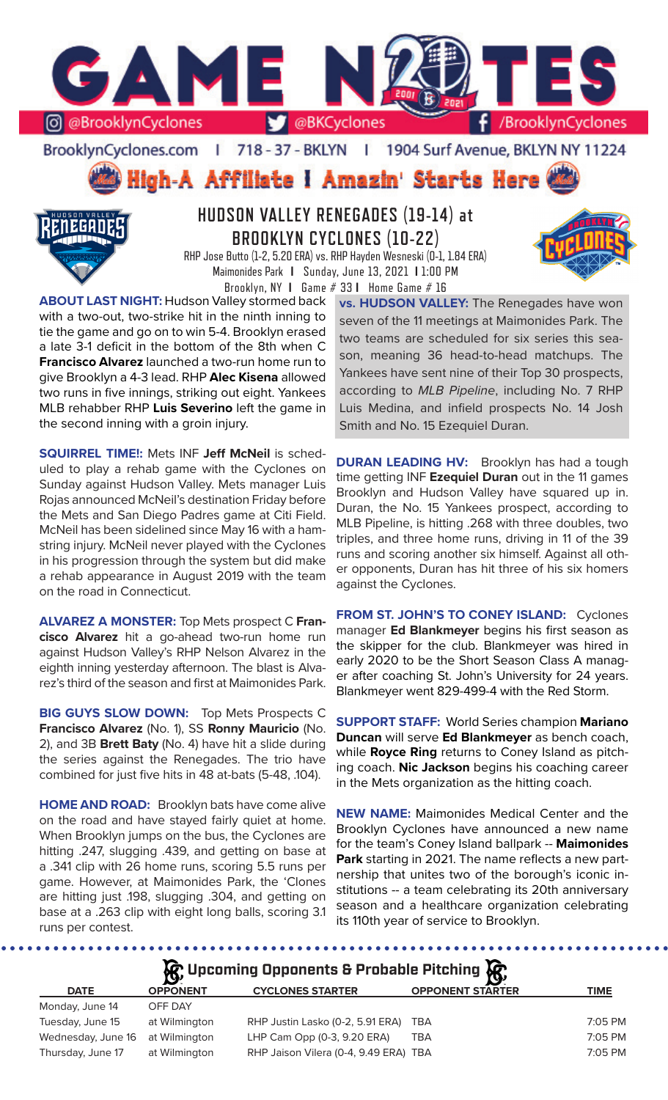

BrooklynCyclones.com | 718 - 37 - BKLYN - F 1904 Surf Avenue, BKLYN NY 11224

# High-A Affiliate I Amazin' Starts Here



## **HUDSON VALLEY RENEGADES (19-14) at BROOKLYN CYCLONES (10-22)**

RHP Jose Butto (1-2, 5.20 ERA) vs. RHP Hayden Wesneski (0-1, 1.84 ERA) Maimonides Park **I** Sunday, June 13, 2021 **I** 1:00 PM Brooklyn, NY **I** Game # 33 **I** Home Game # 16

**ABOUT LAST NIGHT:** Hudson Valley stormed back with a two-out, two-strike hit in the ninth inning to tie the game and go on to win 5-4. Brooklyn erased a late 3-1 deficit in the bottom of the 8th when C **Francisco Alvarez** launched a two-run home run to give Brooklyn a 4-3 lead. RHP **Alec Kisena** allowed two runs in five innings, striking out eight. Yankees MLB rehabber RHP **Luis Severino** left the game in the second inning with a groin injury.

**SQUIRREL TIME!:** Mets INF **Jeff McNeil** is scheduled to play a rehab game with the Cyclones on Sunday against Hudson Valley. Mets manager Luis Rojas announced McNeil's destination Friday before the Mets and San Diego Padres game at Citi Field. McNeil has been sidelined since May 16 with a hamstring injury. McNeil never played with the Cyclones in his progression through the system but did make a rehab appearance in August 2019 with the team on the road in Connecticut.

**ALVAREZ A MONSTER:** Top Mets prospect C **Francisco Alvarez** hit a go-ahead two-run home run against Hudson Valley's RHP Nelson Alvarez in the eighth inning yesterday afternoon. The blast is Alvarez's third of the season and first at Maimonides Park.

**BIG GUYS SLOW DOWN:** Top Mets Prospects C **Francisco Alvarez** (No. 1), SS **Ronny Mauricio** (No. 2), and 3B **Brett Baty** (No. 4) have hit a slide during the series against the Renegades. The trio have combined for just five hits in 48 at-bats (5-48, .104).

**HOME AND ROAD:** Brooklyn bats have come alive on the road and have stayed fairly quiet at home. When Brooklyn jumps on the bus, the Cyclones are hitting .247, slugging .439, and getting on base at a .341 clip with 26 home runs, scoring 5.5 runs per game. However, at Maimonides Park, the 'Clones are hitting just .198, slugging .304, and getting on base at a .263 clip with eight long balls, scoring 3.1 runs per contest.

**vs. HUDSON VALLEY:** The Renegades have won seven of the 11 meetings at Maimonides Park. The two teams are scheduled for six series this season, meaning 36 head-to-head matchups. The Yankees have sent nine of their Top 30 prospects, according to *MLB Pipeline*, including No. 7 RHP Luis Medina, and infield prospects No. 14 Josh Smith and No. 15 Ezequiel Duran.

**DURAN LEADING HV:** Brooklyn has had a tough time getting INF **Ezequiel Duran** out in the 11 games Brooklyn and Hudson Valley have squared up in. Duran, the No. 15 Yankees prospect, according to MLB Pipeline, is hitting .268 with three doubles, two triples, and three home runs, driving in 11 of the 39 runs and scoring another six himself. Against all other opponents, Duran has hit three of his six homers against the Cyclones.

**FROM ST. JOHN'S TO CONEY ISLAND:** Cyclones manager **Ed Blankmeyer** begins his first season as the skipper for the club. Blankmeyer was hired in early 2020 to be the Short Season Class A manager after coaching St. John's University for 24 years. Blankmeyer went 829-499-4 with the Red Storm.

**SUPPORT STAFF:** World Series champion **Mariano Duncan** will serve **Ed Blankmeyer** as bench coach, while **Royce Ring** returns to Coney Island as pitching coach. **Nic Jackson** begins his coaching career in the Mets organization as the hitting coach.

**NEW NAME:** Maimonides Medical Center and the Brooklyn Cyclones have announced a new name for the team's Coney Island ballpark -- **Maimonides Park** starting in 2021. The name reflects a new partnership that unites two of the borough's iconic institutions -- a team celebrating its 20th anniversary season and a healthcare organization celebrating its 110th year of service to Brooklyn.

| <b>C</b> Upcoming Opponents & Probable Pitching <b>C</b> |                 |                                       |                         |             |  |  |  |  |  |
|----------------------------------------------------------|-----------------|---------------------------------------|-------------------------|-------------|--|--|--|--|--|
| <b>DATE</b>                                              | <b>OPPONENT</b> | <b>CYCLONES STARTER</b>               | <b>OPPONENT STARTER</b> | <b>TIME</b> |  |  |  |  |  |
| Monday, June 14                                          | OFF DAY         |                                       |                         |             |  |  |  |  |  |
| Tuesday, June 15                                         | at Wilmington   | RHP Justin Lasko (0-2, 5.91 ERA)      | TBA                     | 7:05 PM     |  |  |  |  |  |
| Wednesday, June 16                                       | at Wilmington   | LHP Cam Opp (0-3, 9.20 ERA)           | TBA                     | 7:05 PM     |  |  |  |  |  |
| Thursday, June 17                                        | at Wilmington   | RHP Jaison Vilera (0-4, 9.49 ERA) TBA |                         | 7:05 PM     |  |  |  |  |  |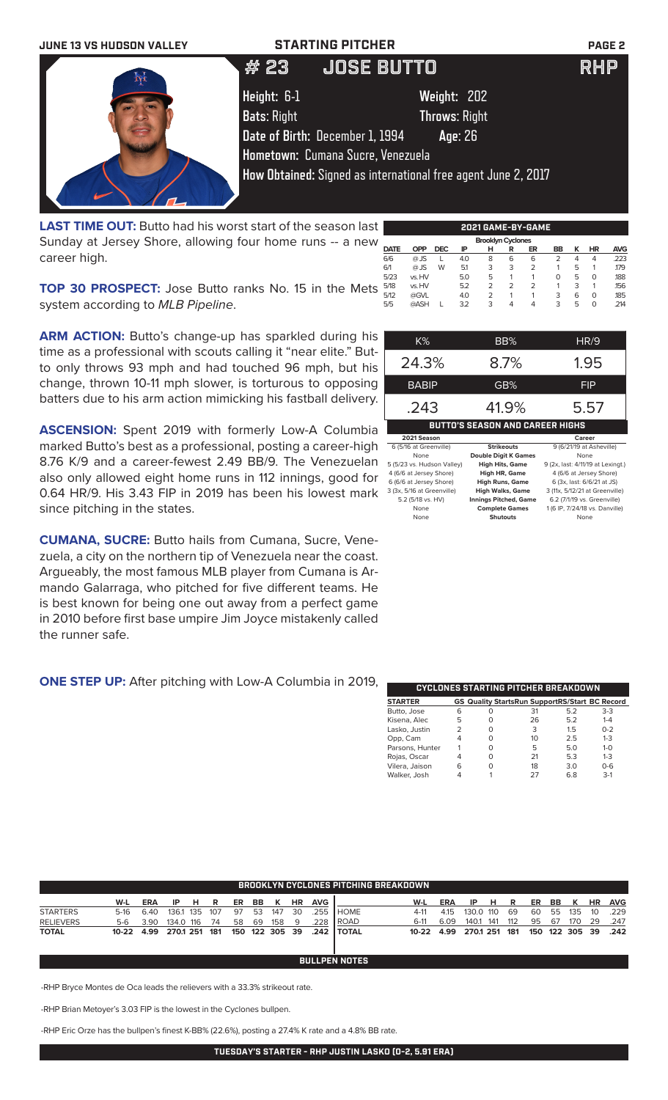

**LAST TIME OUT:** Butto had his worst start of the season last Sunday at Jersey Shore, allowing four home runs -- a new career high.

6/6 @ JS L 4.0 8 6 6 2 4 4 .223 6/1 @ JS W 5.1 3 3 2 1 5 1 .179 5/23 vs. HV 5.0 5 1 1 0 5 0 .188 5/18 vs. HV 5.2 2 2 2 1 3 1 .156 5/12 @GVL 4.0 2 1 1 3 6 0 .185 5/5 @ASH L 3.2 3 4 4 3 5 0 .214

**TOP 30 PROSPECT:** Jose Butto ranks No. 15 in the Mets 578 system according to *MLB Pipeline*.

**ARM ACTION:** Butto's change-up has sparkled during his time as a professional with scouts calling it "near elite." Butto only throws 93 mph and had touched 96 mph, but his change, thrown 10-11 mph slower, is torturous to opposing batters due to his arm action mimicking his fastball delivery.

**ASCENSION:** Spent 2019 with formerly Low-A Columbia marked Butto's best as a professional, posting a career-high 8.76 K/9 and a career-fewest 2.49 BB/9. The Venezuelan also only allowed eight home runs in 112 innings, good for 0.64 HR/9. His 3.43 FIP in 2019 has been his lowest mark since pitching in the states.

**CUMANA, SUCRE:** Butto hails from Cumana, Sucre, Venezuela, a city on the northern tip of Venezuela near the coast. Argueably, the most famous MLB player from Cumana is Armando Galarraga, who pitched for five different teams. He is best known for being one out away from a perfect game in 2010 before first base umpire Jim Joyce mistakenly called the runner safe.

### **ONE STEP UP:** After pitching with Low-A Columbia in 2019,

| K%                                     | BB%                          | HR/9                              |  |  |  |  |  |  |
|----------------------------------------|------------------------------|-----------------------------------|--|--|--|--|--|--|
| 24.3%                                  | 8.7%                         | 1.95                              |  |  |  |  |  |  |
| BABIP                                  | GB%                          | FIP                               |  |  |  |  |  |  |
| .243                                   | 41.9%                        | 5.57                              |  |  |  |  |  |  |
| <b>BUTTO'S SEASON AND CAREER HIGHS</b> |                              |                                   |  |  |  |  |  |  |
| 2021 Season                            |                              | Career                            |  |  |  |  |  |  |
| 6 (5/16 at Greenville)                 | <b>Strikeouts</b>            | 9 (6/21/19 at Asheville)          |  |  |  |  |  |  |
| None                                   | <b>Double Digit K Games</b>  | None                              |  |  |  |  |  |  |
| 5 (5/23 vs. Hudson Valley)             | <b>High Hits, Game</b>       | 9 (2x, last: 4/11/19 at Lexingt.) |  |  |  |  |  |  |
| 4 (6/6 at Jersey Shore)                | High HR, Game                | 4 (6/6 at Jersey Shore)           |  |  |  |  |  |  |
| 6 (6/6 at Jersey Shore)                | <b>High Runs, Game</b>       | 6 (3x, last: 6/6/21 at JS)        |  |  |  |  |  |  |
|                                        |                              | 3 (11x, 5/12/21 at Greenville)    |  |  |  |  |  |  |
| 3 (3x, 5/16 at Greenville)             | <b>High Walks, Game</b>      |                                   |  |  |  |  |  |  |
| 5.2 (5/18 vs. HV)                      | <b>Innings Pitched, Game</b> | 6.2 (7/1/19 vs. Greenville)       |  |  |  |  |  |  |
| None                                   | <b>Complete Games</b>        | 1 (6 IP, 7/24/18 vs. Danville)    |  |  |  |  |  |  |

**DATE OPP DEC IP H R ER BB K HR AVG**

**Brooklyn Cyclor**<br>**DATE OPP DEC IP H R** 

| CYCLONES STARTING PITCHER BREAKDOWN |   |          |                                                       |     |         |  |  |  |  |  |
|-------------------------------------|---|----------|-------------------------------------------------------|-----|---------|--|--|--|--|--|
| <b>STARTER</b>                      |   |          | <b>GS Quality StartsRun SupportRS/Start BC Record</b> |     |         |  |  |  |  |  |
| Butto, Jose                         | 6 | O        | 31                                                    | 5.2 | $3-3$   |  |  |  |  |  |
| Kisena, Alec                        | 5 | O        | 26                                                    | 5.2 | $1 - 4$ |  |  |  |  |  |
| Lasko, Justin                       |   | O        | 3                                                     | 1.5 | $0 - 2$ |  |  |  |  |  |
| Opp, Cam                            |   | $\Omega$ | 10                                                    | 2.5 | $1 - 3$ |  |  |  |  |  |
| Parsons, Hunter                     |   | O        | 5                                                     | 5.0 | $1 - 0$ |  |  |  |  |  |
| Rojas, Oscar                        | 4 | O        | 21                                                    | 5.3 | $1 - 3$ |  |  |  |  |  |
| Vilera, Jaison                      | 6 | O        | 18                                                    | 3.0 | $0 - 6$ |  |  |  |  |  |
| Walker, Josh                        |   |          | 27                                                    | 68  | $3-1$   |  |  |  |  |  |

|                  | <b>BROOKLYN CYCLONES PITCHING BREAKDOWN</b> |                    |               |  |    |    |         |        |           |            |                           |            |      |               |     |     |    |           |        |           |                     |
|------------------|---------------------------------------------|--------------------|---------------|--|----|----|---------|--------|-----------|------------|---------------------------|------------|------|---------------|-----|-----|----|-----------|--------|-----------|---------------------|
|                  | W-L                                         | <b>ERA</b>         | IP HR         |  |    |    | ER BB K |        | <b>HR</b> | <b>AVG</b> |                           | W-L        | ERA  | IP            | H R |     | ER | <b>BB</b> | K      | <b>HR</b> | <b>AVG</b>          |
| <b>STARTERS</b>  | 5-16                                        | - 6.40             | 136.1 135 107 |  |    | 97 |         | 53 147 | - 30      | .255       | <b>I</b> HOME             | 4-11       | 4.15 | 130.0 110     |     | 69  | 60 |           | 55 135 | 10        | .229                |
| <b>RELIEVERS</b> |                                             | 5-6 3.90 134.0 116 |               |  | 74 | 58 | 69      | 158    | - 9       | .228       | I ROAD                    | $6-11$     | 6.09 | 140.1 141     |     | 112 |    | 95 67     | 170    | - 29      | .247                |
| <b>TOTAL</b>     | 10-22 4.99 270.1 251 181                    |                    |               |  |    |    |         |        |           |            | 150 122 305 39 .242 TOTAL | 10-22 4.99 |      | 270.1 251 181 |     |     |    |           |        |           | 150 122 305 39 .242 |
|                  |                                             |                    |               |  |    |    |         |        |           |            |                           |            |      |               |     |     |    |           |        |           |                     |
|                  |                                             |                    |               |  |    |    |         |        |           |            |                           |            |      |               |     |     |    |           |        |           |                     |

**BULLPEN NOTES**

-RHP Bryce Montes de Oca leads the relievers with a 33.3% strikeout rate.

-RHP Brian Metoyer's 3.03 FIP is the lowest in the Cyclones bullpen.

-RHP Eric Orze has the bullpen's finest K-BB% (22.6%), posting a 27.4% K rate and a 4.8% BB rate.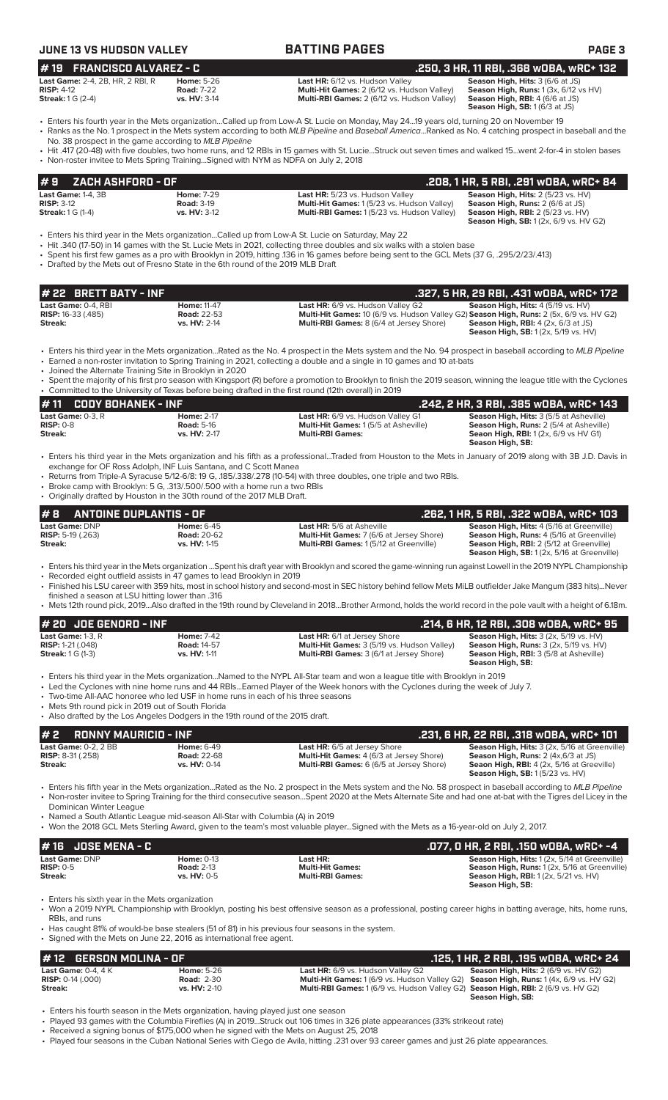| <b>JUNE 13 VS HUDSON VALLEY</b>                                                                     |                                                                                                                                     | <b>BATTING PAGES</b>                                                                                                                                                                                                                                                                                                                                                             | <b>PAGE 3</b>                                                                                                                                                                       |
|-----------------------------------------------------------------------------------------------------|-------------------------------------------------------------------------------------------------------------------------------------|----------------------------------------------------------------------------------------------------------------------------------------------------------------------------------------------------------------------------------------------------------------------------------------------------------------------------------------------------------------------------------|-------------------------------------------------------------------------------------------------------------------------------------------------------------------------------------|
| #19 FRANCISCO ALVAREZ - C                                                                           |                                                                                                                                     |                                                                                                                                                                                                                                                                                                                                                                                  | .250, 3 HR, 11 RBI, .368 wOBA, wRC+ 132                                                                                                                                             |
| Last Game: 2-4, 2B, HR, 2 RBI, R<br><b>RISP: 4-12</b><br><b>Streak:</b> 1 G (2-4)                   | <b>Home: 5-26</b><br><b>Road: 7-22</b><br>vs. HV: 3-14                                                                              | Last HR: 6/12 vs. Hudson Valley<br>Multi-Hit Games: 2 (6/12 vs. Hudson Valley)<br>Multi-RBI Games: 2 (6/12 vs. Hudson Valley)                                                                                                                                                                                                                                                    | Season High, Hits: 3 (6/6 at JS)<br>Season High, Runs: 1 (3x, 6/12 vs HV)<br>Season High, RBI: 4 (6/6 at JS)<br>Season High, SB: 1(6/3 at JS)                                       |
|                                                                                                     | No. 38 prospect in the game according to MLB Pipeline                                                                               | Fiters his fourth year in the Mets organizationCalled up from Low-A St. Lucie on Monday, May 2419 years old, turning 20 on November 19<br>· Ranks as the No. 1 prospect in the Mets system according to both MLB Pipeline and Baseball AmericaRanked as No. 4 catching prospect in baseball and the                                                                              |                                                                                                                                                                                     |
|                                                                                                     | • Non-roster invitee to Mets Spring TrainingSigned with NYM as NDFA on July 2, 2018                                                 | • Hit .417 (20-48) with five doubles, two home runs, and 12 RBIs in 15 games with St. LucieStruck out seven times and walked 15went 2-for-4 in stolen bases                                                                                                                                                                                                                      |                                                                                                                                                                                     |
| ZACH ASHFORD - OF<br>#9                                                                             |                                                                                                                                     |                                                                                                                                                                                                                                                                                                                                                                                  | .208, 1 HR, 5 RBI, .291 wOBA, wRC+ 84                                                                                                                                               |
| Last Game: 1-4, 3B<br><b>RISP: 3-12</b><br><b>Streak:</b> 1 G (1-4)                                 | <b>Home: 7-29</b><br><b>Road: 3-19</b><br>vs. HV: 3-12                                                                              | Last HR: 5/23 vs. Hudson Valley<br>Multi-Hit Games: 1 (5/23 vs. Hudson Valley)<br>Multi-RBI Games: 1(5/23 vs. Hudson Valley)                                                                                                                                                                                                                                                     | Season High, Hits: 2 (5/23 vs. HV)<br>Season High, Runs: 2 (6/6 at JS)<br><b>Season High, RBI: 2 (5/23 vs. HV)</b><br><b>Season High, SB:</b> 1 (2x, 6/9 vs. HV G2)                 |
|                                                                                                     | • Drafted by the Mets out of Fresno State in the 6th round of the 2019 MLB Draft                                                    | · Enters his third year in the Mets organizationCalled up from Low-A St. Lucie on Saturday, May 22<br>• Hit .340 (17-50) in 14 games with the St. Lucie Mets in 2021, collecting three doubles and six walks with a stolen base<br>• Spent his first few games as a pro with Brooklyn in 2019, hitting .136 in 16 games before being sent to the GCL Mets (37 G, .295/2/23/.413) |                                                                                                                                                                                     |
| # 22 BRETT BATY - INF                                                                               |                                                                                                                                     |                                                                                                                                                                                                                                                                                                                                                                                  | .327, 5 HR, 29 RBI, .431 wDBA, wRC+ 172                                                                                                                                             |
| Last Game: 0-4, RBI<br><b>RISP:</b> 16-33 (.485)<br>Streak:                                         | <b>Home: 11-47</b><br><b>Road: 22-53</b><br>vs. HV: 2-14                                                                            | Last HR: 6/9 vs. Hudson Valley G2<br>Multi-Hit Games: 10 (6/9 vs. Hudson Valley G2) Season High, Runs: 2 (5x, 6/9 vs. HV G2)<br>Multi-RBI Games: 8 (6/4 at Jersey Shore)                                                                                                                                                                                                         | Season High, Hits: 4 (5/19 vs. HV)<br><b>Season High, RBI:</b> $4$ (2x, $6/3$ at JS)<br>Season High, SB: 1 (2x, 5/19 vs. HV)                                                        |
|                                                                                                     | • Joined the Alternate Training Site in Brooklyn in 2020                                                                            | • Enters his third year in the Mets organizationRated as the No. 4 prospect in the Mets system and the No. 94 prospect in baseball according to MLB Pipeline<br>• Earned a non-roster invitation to Spring Training in 2021, collecting a double and a single in 10 games and 10 at-bats                                                                                         |                                                                                                                                                                                     |
|                                                                                                     |                                                                                                                                     | • Spent the majority of his first pro season with Kingsport (R) before a promotion to Brooklyn to finish the 2019 season, winning the league title with the Cyclones<br>Committed to the University of Texas before being drafted in the first round (12th overall) in 2019                                                                                                      |                                                                                                                                                                                     |
| #11<br><b>CODY BOHANEK - INF</b>                                                                    |                                                                                                                                     |                                                                                                                                                                                                                                                                                                                                                                                  | .242, 2 HR, 3 RBI, .385 WOBA, WRC+ 143                                                                                                                                              |
| Last Game: 0-3, R<br>$RISP: 0-8$<br>Streak:                                                         | <b>Home: 2-17</b><br><b>Road: 5-16</b><br>vs. HV: 2-17                                                                              | Last HR: 6/9 vs. Hudson Valley G1<br>Multi-Hit Games: 1 (5/5 at Asheville)<br><b>Multi-RBI Games:</b>                                                                                                                                                                                                                                                                            | Season High, Hits: 3 (5/5 at Asheville)<br>Season High, Runs: 2 (5/4 at Asheville)<br><b>Seaon High, RBI:</b> 1(2x, 6/9 vs HV G1)<br>Season High, SB:                               |
| <b>ANTOINE DUPLANTIS - OF</b><br>#8<br><b>Last Game: DNP</b><br><b>RISP:</b> 5-19 (.263)<br>Streak: | • Originally drafted by Houston in the 30th round of the 2017 MLB Draft.<br><b>Home:</b> 6-45<br><b>Road: 20-62</b><br>vs. HV: 1-15 | <b>Last HR:</b> 5/6 at Asheville<br>Multi-Hit Games: 7 (6/6 at Jersey Shore)<br>Multi-RBI Games: 1 (5/12 at Greenville)                                                                                                                                                                                                                                                          | .262, 1 HR, 5 RBI, .322 wOBA, wRC+ 103<br><b>Season High, Hits: 4 (5/16 at Greenville)</b><br>Season High, Runs: 4 (5/16 at Greenville)<br>Season High, RBI: 2 (5/12 at Greenville) |
|                                                                                                     |                                                                                                                                     | • Enters his third year in the Mets organization Spent his draft year with Brooklyn and scored the game-winning run against Lowell in the 2019 NYPL Championship                                                                                                                                                                                                                 | Season High, SB: 1 (2x, 5/16 at Greenville)                                                                                                                                         |
| finished a season at LSU hitting lower than .316                                                    | • Recorded eight outfield assists in 47 games to lead Brooklyn in 2019                                                              | • Finished his LSU career with 359 hits, most in school history and second-most in SEC history behind fellow Mets MiLB outfielder Jake Mangum (383 hits)Never                                                                                                                                                                                                                    |                                                                                                                                                                                     |
| # 20 JOE GENORD - INF                                                                               |                                                                                                                                     | • Mets 12th round pick, 2019Also drafted in the 19th round by Cleveland in 2018Brother Armond, holds the world record in the pole vault with a height of 6.18m.                                                                                                                                                                                                                  | .214, 6 HR, 12 RBI, .308 w0BA, wRC+ 95                                                                                                                                              |
| Last Game: 1-3, R<br><b>RISP: 1-21 (.048)</b><br><b>Streak: 1 G (1-3)</b>                           | <b>Home: 7-42</b><br><b>Road: 14-57</b><br>vs. HV: 1-11                                                                             | Last HR: 6/1 at Jersey Shore<br>Multi-Hit Games: 3 (5/19 vs. Hudson Valley)<br>Multi-RBI Games: 3 (6/1 at Jersey Shore)                                                                                                                                                                                                                                                          | Season High, Hits: 3 (2x, 5/19 vs. HV)<br>Season High, Runs: 3 (2x, 5/19 vs. HV)<br>Season High, RBI: 3 (5/8 at Asheville)<br>Season High, SB:                                      |
|                                                                                                     | • Two-time All-AAC honoree who led USF in home runs in each of his three seasons                                                    | • Enters his third year in the Mets organization…Named to the NYPL All-Star team and won a league title with Brooklyn in 2019<br>• Led the Cyclones with nine home runs and 44 RBIsEarned Player of the Week honors with the Cyclones during the week of July 7.                                                                                                                 |                                                                                                                                                                                     |
| • Mets 9th round pick in 2019 out of South Florida                                                  | • Also drafted by the Los Angeles Dodgers in the 19th round of the 2015 draft.                                                      |                                                                                                                                                                                                                                                                                                                                                                                  |                                                                                                                                                                                     |
| #2<br><b>RONNY MAURICIO - INF</b><br>Last Game: 0-2, 2 BB                                           |                                                                                                                                     |                                                                                                                                                                                                                                                                                                                                                                                  | .231, 6 HR, 22 RBI, .318 wOBA, wRC+ 101<br>Season High, Hits: 3 (2x, 5/16 at Greenville)                                                                                            |
| RISP: 8-31 (.258)<br>Streak:                                                                        | <b>Home: 6-49</b><br><b>Road: 22-68</b><br>vs. HV: 0-14                                                                             | Last HR: 6/5 at Jersey Shore<br>Multi-Hit Games: 4 (6/3 at Jersey Shore)<br>Multi-RBI Games: 6 (6/5 at Jersey Shore)                                                                                                                                                                                                                                                             | Season High, Runs: 2 (4x, 6/3 at JS)<br>Seaon High, RBI: 4 (2x, 5/16 at Greeville)<br>Season High, SB: 1 (5/23 vs. HV)                                                              |
| Dominican Winter League                                                                             | • Named a South Atlantic League mid-season All-Star with Columbia (A) in 2019                                                       | • Enters his fifth year in the Mets organizationRated as the No. 2 prospect in the Mets system and the No. 58 prospect in baseball according to MLB Pipeline<br>• Non-roster invitee to Spring Training for the third consecutive seasonSpent 2020 at the Mets Alternate Site and had one at-bat with the Tigres del Licey in the                                                |                                                                                                                                                                                     |
| <b>JOSE MENA - C</b><br>#16                                                                         |                                                                                                                                     | • Won the 2018 GCL Mets Sterling Award, given to the team's most valuable playerSigned with the Mets as a 16-year-old on July 2, 2017.                                                                                                                                                                                                                                           |                                                                                                                                                                                     |
| Last Game: DNP<br><b>RISP: 0-5</b>                                                                  | <b>Home: 0-13</b><br><b>Road: 2-13</b>                                                                                              | Last HR:<br><b>Multi-Hit Games:</b><br><b>Multi-RBI Games:</b>                                                                                                                                                                                                                                                                                                                   | .077, 0 HR, 2 RBI, .150 w0BA, wRC+ -4<br>Season High, Hits: 1 (2x, 5/14 at Greenville)<br>Season High, Runs: 1 (2x, 5/16 at Greenville)                                             |
| Streak:<br>• Enters his sixth year in the Mets organization                                         | vs. HV: 0-5                                                                                                                         |                                                                                                                                                                                                                                                                                                                                                                                  | <b>Season High, RBI:</b> 1 (2x, 5/21 vs. HV)<br>Season High, SB:                                                                                                                    |
|                                                                                                     |                                                                                                                                     |                                                                                                                                                                                                                                                                                                                                                                                  |                                                                                                                                                                                     |
| RBIs, and runs                                                                                      | • Signed with the Mets on June 22, 2016 as international free agent.                                                                | • Won a 2019 NYPL Championship with Brooklyn, posting his best offensive season as a professional, posting career highs in batting average, hits, home runs,<br>• Has caught 81% of would-be base stealers (51 of 81) in his previous four seasons in the system.                                                                                                                |                                                                                                                                                                                     |
| <b>GERSON MOLINA - OF</b><br># 12                                                                   |                                                                                                                                     |                                                                                                                                                                                                                                                                                                                                                                                  | .125, 1 HR, 2 RBI, .195 WOBA, WRC+ 24                                                                                                                                               |

• Enters his fourth season in the Mets organization, having played just one season

• Played 93 games with the Columbia Fireflies (A) in 2019...Struck out 106 times in 326 plate appearances (33% strikeout rate)

• Received a signing bonus of \$175,000 when he signed with the Mets on August 25, 2018

• Played four seasons in the Cuban National Series with Ciego de Avila, hitting .231 over 93 career games and just 26 plate appearances.

**Season High, SB:** 

**RISP:** 0-14 (.000) **Road:** 2-30 **Multi-Hit Games:** 1 (6/9 vs. Hudson Valley G2) **Season High, Runs:** 1 (4x, 6/9 vs. HV G2) **Streak: vs. HV:** 2-10 **Multi-RBI Games:** 1 (6/9 vs. Hudson Valley G2) **Season High, RBI:** 2 (6/9 vs. HV G2)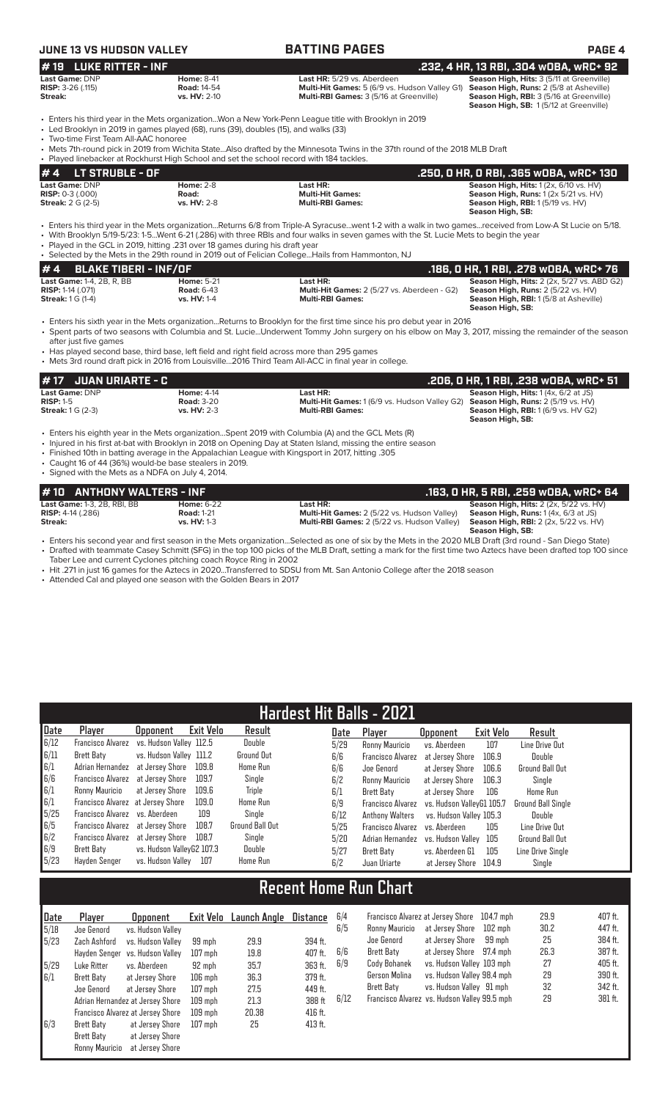| JUNE 13 VS HUDSON VALLEY                                                                                                                                                                                                                                                                                                |                                                         | <b>BATTING PAGES</b>                                                                                                                                                                                                                                                                               | PAGE 4                                                                                                                                                                     |
|-------------------------------------------------------------------------------------------------------------------------------------------------------------------------------------------------------------------------------------------------------------------------------------------------------------------------|---------------------------------------------------------|----------------------------------------------------------------------------------------------------------------------------------------------------------------------------------------------------------------------------------------------------------------------------------------------------|----------------------------------------------------------------------------------------------------------------------------------------------------------------------------|
| #19 LUKE RITTER - INF                                                                                                                                                                                                                                                                                                   |                                                         |                                                                                                                                                                                                                                                                                                    | .232, 4 HR, 13 RBI, .304 wOBA, wRC+ 92                                                                                                                                     |
| Last Game: DNP<br><b>RISP:</b> $3-26$ (.115)<br>Streak:                                                                                                                                                                                                                                                                 | <b>Home: 8-41</b><br><b>Road: 14-54</b><br>vs. HV: 2-10 | Last HR: 5/29 vs. Aberdeen<br>Multi-Hit Games: 5 (6/9 vs. Hudson Valley G1)<br>Multi-RBI Games: 3 (5/16 at Greenville)                                                                                                                                                                             | Season High, Hits: 3 (5/11 at Greenville)<br>Season High, Runs: 2 (5/8 at Asheville)<br>Season High, RBI: 3 (5/16 at Greenville)<br>Season High, SB: 1(5/12 at Greenville) |
| • Led Brooklyn in 2019 in games played (68), runs (39), doubles (15), and walks (33)<br>• Two-time First Team All-AAC honoree                                                                                                                                                                                           |                                                         | Enters his third year in the Mets organizationWon a New York-Penn League title with Brooklyn in 2019<br>• Mets 7th-round pick in 2019 from Wichita StateAlso drafted by the Minnesota Twins in the 37th round of the 2018 MLB Draft                                                                |                                                                                                                                                                            |
| • Played linebacker at Rockhurst High School and set the school record with 184 tackles.                                                                                                                                                                                                                                |                                                         |                                                                                                                                                                                                                                                                                                    |                                                                                                                                                                            |
| <b>LT STRUBLE - OF</b><br># 4                                                                                                                                                                                                                                                                                           |                                                         |                                                                                                                                                                                                                                                                                                    | .250, 0 HR, 0 RBI, .365 w0BA, wRC+ 130                                                                                                                                     |
| Last Game: DNP<br>$RISP: 0-3(.000)$<br><b>Streak:</b> 2 G (2-5)                                                                                                                                                                                                                                                         | <b>Home: 2-8</b><br>Road:<br>vs. HV: 2-8                | Last HR:<br><b>Multi-Hit Games:</b><br><b>Multi-RBI Games:</b>                                                                                                                                                                                                                                     | Season High, Hits: 1 (2x, 6/10 vs. HV)<br>Season High, Runs: 1 (2x 5/21 vs. HV)<br><b>Season High, RBI:</b> 1 (5/19 vs. HV)<br>Season High, SB:                            |
| · Played in the GCL in 2019, hitting .231 over 18 games during his draft year<br>• Selected by the Mets in the 29th round in 2019 out of Felician CollegeHails from Hammonton, NJ                                                                                                                                       |                                                         | • Enters his third year in the Mets organizationReturns 6/8 from Triple-A Syracusewent 1-2 with a walk in two gamesreceived from Low-A St Lucie on 5/18.<br>· With Brooklyn 5/19-5/23: 1-5Went 6-21 (.286) with three RBIs and four walks in seven games with the St. Lucie Mets to begin the year |                                                                                                                                                                            |
| #4<br><b>BLAKE TIBERI - INF/OF</b>                                                                                                                                                                                                                                                                                      |                                                         |                                                                                                                                                                                                                                                                                                    | .186, O HR, 1 RBI, .278 WOBA, WRC+ 76                                                                                                                                      |
| Last Game: 1-4, 2B, R, BB<br>RISP: 1-14 (.071)<br><b>Streak:</b> 1 G (1-4)                                                                                                                                                                                                                                              | <b>Home: 5-21</b><br><b>Road: 6-43</b><br>vs. HV: 1-4   | Last HR:<br>Multi-Hit Games: 2 (5/27 vs. Aberdeen - G2)<br><b>Multi-RBI Games:</b>                                                                                                                                                                                                                 | Season High, Hits: 2 (2x, 5/27 vs. ABD G2)<br>Season High, Runs: 2 (5/22 vs. HV)<br>Season High, RBI: 1 (5/8 at Asheville)<br>Season High, SB:                             |
| after just five games<br>• Has played second base, third base, left field and right field across more than 295 games<br>• Mets 3rd round draft pick in 2016 from Louisville2016 Third Team All-ACC in final year in college.                                                                                            |                                                         | • Enters his sixth year in the Mets organizationReturns to Brooklyn for the first time since his pro debut year in 2016<br>• Spent parts of two seasons with Columbia and St. LucieUnderwent Tommy John surgery on his elbow on May 3, 2017, missing the remainder of the season                   |                                                                                                                                                                            |
| <b>JUAN URIARTE - C</b><br># 17                                                                                                                                                                                                                                                                                         |                                                         |                                                                                                                                                                                                                                                                                                    | .206, 0 HR, 1 RBI, .238 wOBA, wRC+ 51                                                                                                                                      |
| Last Game: DNP                                                                                                                                                                                                                                                                                                          | <b>Home: 4-14</b>                                       | Last HR:                                                                                                                                                                                                                                                                                           | Season High, Hits: 1 (4x, 6/2 at JS)                                                                                                                                       |
| <b>RISP: 1-5</b><br><b>Streak:</b> 1 G (2-3)                                                                                                                                                                                                                                                                            | <b>Road: 3-20</b><br>vs. HV: 2-3                        | Multi-Hit Games: 1 (6/9 vs. Hudson Valley G2)<br><b>Multi-RBI Games:</b>                                                                                                                                                                                                                           | Season High, Runs: 2 (5/19 vs. HV)<br><b>Season High, RBI:</b> 1 (6/9 vs. HV G2)<br>Season High, SB:                                                                       |
| • Enters his eighth year in the Mets organizationSpent 2019 with Columbia (A) and the GCL Mets (R)<br>. Finished 10th in batting average in the Appalachian League with Kingsport in 2017, hitting .305<br>• Caught 16 of 44 (36%) would-be base stealers in 2019.<br>• Signed with the Mets as a NDFA on July 4, 2014. |                                                         | • Injured in his first at-bat with Brooklyn in 2018 on Opening Day at Staten Island, missing the entire season                                                                                                                                                                                     |                                                                                                                                                                            |
| <b>ANTHONY WALTERS - INF</b><br># 10                                                                                                                                                                                                                                                                                    |                                                         |                                                                                                                                                                                                                                                                                                    | .163, 0 HR, 5 RBI, .259 w0BA, wRC+ 64                                                                                                                                      |
| Last Game: 1-3, 2B, RBI, BB<br><b>RISP:</b> 4-14 (.286)<br>Streak:                                                                                                                                                                                                                                                      | <b>Home: 6-22</b><br><b>Road: 1-21</b><br>vs. HV: 1-3   | Last HR:<br>Multi-Hit Games: 2 (5/22 vs. Hudson Valley)<br>Multi-RBI Games: 2 (5/22 vs. Hudson Valley)                                                                                                                                                                                             | Season High, Hits: 2 (2x, 5/22 vs. HV)<br>Season High, Runs: 1(4x, 6/3 at JS)<br><b>Season High, RBI:</b> 2 (2x, 5/22 vs. HV)<br>Season High, SB:                          |
|                                                                                                                                                                                                                                                                                                                         |                                                         | • Enters his second year and first season in the Mets organizationSelected as one of six by the Mets in the 2020 MLB Draft (3rd round - San Diego State)                                                                                                                                           |                                                                                                                                                                            |

• Drafted with teammate Casey Schmitt (SFG) in the top 100 picks of the MLB Draft, setting a mark for the first time two Aztecs have been drafted top 100 since Taber Lee and current Cyclones pitching coach Royce Ring in 2002

• Hit .271 in just 16 games for the Aztecs in 2020...Transferred to SDSU from Mt. San Antonio College after the 2018 season

• Attended Cal and played one season with the Golden Bears in 2017

|      | <b>Hardest Hit Balls - 2021</b>           |                           |           |                 |      |                                    |                           |           |                           |  |  |
|------|-------------------------------------------|---------------------------|-----------|-----------------|------|------------------------------------|---------------------------|-----------|---------------------------|--|--|
| Date | Player                                    | <b>Opponent</b>           | Exit Velo | Result          | Date | Plaver                             | <b>Opponent</b>           | Exit Velo | Result                    |  |  |
| 6/12 | Francisco Alvarez vs. Hudson Valley 112.5 |                           |           | Double          | 5/29 | Ronny Mauricio                     | vs. Aberdeen              | 107       | Line Drive Out            |  |  |
| 6/11 | Brett Baty                                | vs. Hudson Valley 111.2   |           | Ground Out      | 6/6  | <b>Francisco Alvarez</b>           | at Jersey Shore           | 106.9     | Double                    |  |  |
| 6/1  | Adrian Hernandez at Jersey Shore          |                           | 109.8     | Home Run        | 6/6  | Joe Genord                         | at Jersev Shore           | 106.6     | Ground Ball Out           |  |  |
| 6/6  | Francisco Alvarez                         | at Jersev Shore           | 109.7     | Single          | 6/2  | Ronny Mauricio                     | at Jersey Shore           | 106.3     | Single                    |  |  |
| 6/1  | Ronny Mauricio                            | at Jersev Shore           | 109.6     | Triple          | 6/1  | Brett Baty                         | at Jersev Shore           | 106       | Home Run                  |  |  |
| 6/1  | Francisco Alvarez at Jersey Shore         |                           | 109.0     | Home Run        | 6/9  | Francisco Alvarez                  | vs. Hudson VallevG1 105.7 |           | <b>Ground Ball Single</b> |  |  |
| 5/25 | Francisco Alvarez vs. Aberdeen            |                           | 109       | Single          | 6/12 | Anthony Walters                    | vs. Hudson Valley 105.3   |           | Double                    |  |  |
| 6/5  | Francisco Alvarez at Jersey Shore         |                           | 108.7     | Ground Ball Out | 5/25 | <b>Francisco Alvarez</b>           | vs. Aberdeen              | 105       | Line Drive Out            |  |  |
| 6/2  | Francisco Alvarez at Jersey Shore         |                           | 108.7     | Single          | 5/20 | Adrian Hernandez vs. Hudson Valley |                           | 105       | Ground Ball Out           |  |  |
| 6/9  | Brett Baty                                | vs. Hudson VallevG2 107.3 |           | Double          | 5/27 | Brett Baty                         | vs. Aberdeen G1           | 105       | Line Drive Single         |  |  |
| 5/23 | Havden Senger                             | vs. Hudson Vallev         | 107       | Home Run        | 6/2  | Juan Uriarte                       | at Jersey Shore 104.9     |           | Single                    |  |  |

## **Recent Home Run Chart**

| Date | Plaver            | <b>Opponent</b>                   |           | Exit Velo Launch Angle | <b>Distance</b> | 6/4 |
|------|-------------------|-----------------------------------|-----------|------------------------|-----------------|-----|
| 5/18 | Joe Genord        | vs. Hudson Valley                 |           |                        |                 | 6/9 |
| 5/23 | Zach Ashford      | vs. Hudson Valley                 | 99 mph    | 29.9                   | 394 ft.         |     |
|      | Hayden Senger     | vs. Hudson Valley                 | $107$ mph | 19.8                   | 407 ft.         | 6/6 |
| 5/29 | Luke Ritter       | vs. Aberdeen                      | 92 mph    | 35.7                   | 363 ft.         | 6/9 |
| 6/1  | <b>Brett Baty</b> | at Jersey Shore                   | $106$ mph | 36.3                   | 379 ft.         |     |
|      | Joe Genord        | at Jersey Shore                   | $107$ mph | 27.5                   | 449 ft.         |     |
|      |                   | Adrian Hernandez at Jersey Shore  | $109$ mph | 21.3                   | 388 ft          | 6/1 |
|      |                   | Francisco Alvarez at Jersey Shore | $109$ mph | 20.38                  | 416 ft.         |     |
| 6/3  | Brett Baty        | at Jersey Shore                   | $107$ mph | 25                     | 413 ft.         |     |
|      | Brett Baty        | at Jersey Shore                   |           |                        |                 |     |
|      | Ronny Mauricio    | at Jersey Shore                   |           |                        |                 |     |

| 6/4  |                                              | Francisco Alvarez at Jersey Shore 104.7 mph |         | 29.9 | 407 ft. |
|------|----------------------------------------------|---------------------------------------------|---------|------|---------|
| 6/5  | Ronny Mauricio                               | at Jersey Shore                             | 102 mph | 30.2 | 447 ft. |
|      | Joe Genord                                   | at Jersey Shore                             | 99 mph  | 25   | 384 ft. |
| 6/6  | Brett Baty                                   | at Jersey Shore 97.4 mph                    |         | 26.3 | 387 ft. |
| 6/9  | Cody Bohanek                                 | vs. Hudson Valley 103 mph                   |         | 27   | 405 ft. |
|      | Gerson Molina                                | vs. Hudson Valley 98.4 mph                  |         | 29   | 390 ft. |
|      | Brett Baty                                   | vs. Hudson Valley 91 mph                    |         | 32   | 342 ft. |
| 6/12 | Francisco Alvarez vs. Hudson Valley 99.5 mph |                                             |         | 29   | 381 ft. |
|      |                                              |                                             |         |      |         |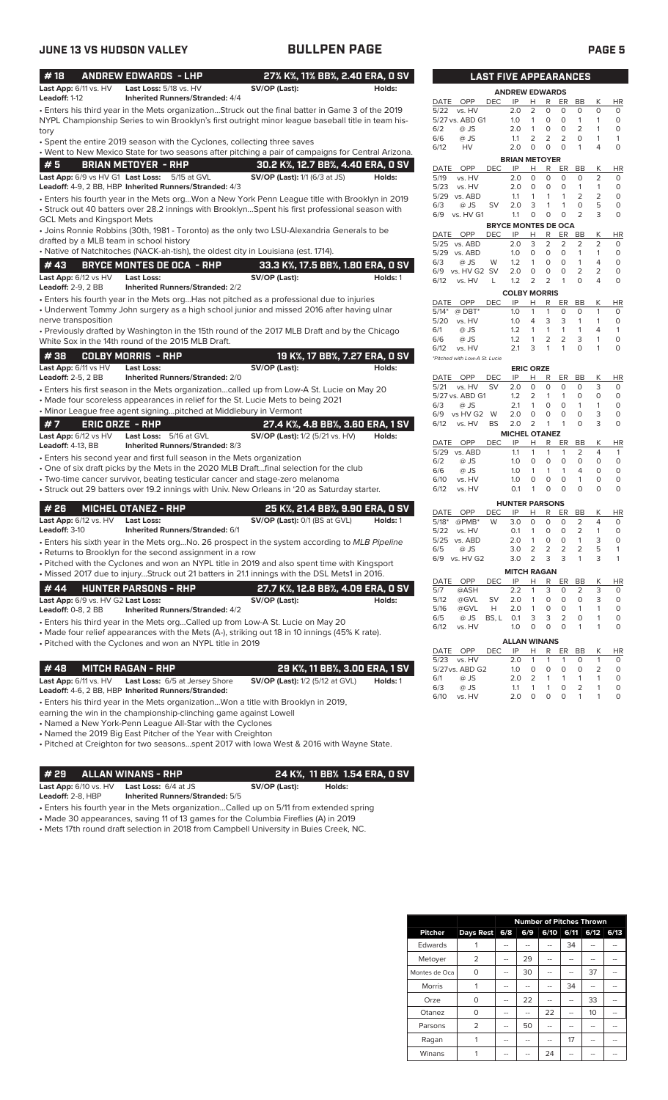| #18                                                             | <b>ANDREW EDWARDS - LHP</b>                                                           |                                                                                                                                                                                                                                                                                                  | 27% K%, 11% BB%, 2.40 ERA, 0 SV           |
|-----------------------------------------------------------------|---------------------------------------------------------------------------------------|--------------------------------------------------------------------------------------------------------------------------------------------------------------------------------------------------------------------------------------------------------------------------------------------------|-------------------------------------------|
| Last App: 6/11 vs. HV<br>Leadoff: 1-12                          | Last Loss: 5/18 vs. HV<br><b>Inherited Runners/Stranded: 4/4</b>                      | SV/OP (Last):                                                                                                                                                                                                                                                                                    | Holds:                                    |
| tory                                                            |                                                                                       | • Enters his third year in the Mets organizationStruck out the final batter in Game 3 of the 2019<br>NYPL Championship Series to win Brooklyn's first outright minor league baseball title in team his-                                                                                          |                                           |
|                                                                 | • Spent the entire 2019 season with the Cyclones, collecting three saves              | • Went to New Mexico State for two seasons after pitching a pair of campaigns for Central Arizona.                                                                                                                                                                                               |                                           |
| #5                                                              | <b>BRIAN METOYER - RHP</b>                                                            | 30.2 K%, 12.7 BB%, 4.40 ERA, 0 SV                                                                                                                                                                                                                                                                |                                           |
| Last App: 6/9 vs HV G1 Last Loss:                               | 5/15 at GVL<br>Leadoff: 4-9, 2 BB, HBP Inherited Runners/Stranded: 4/3                | <b>SV/OP (Last):</b> 1/1 (6/3 at JS)                                                                                                                                                                                                                                                             | Holds:                                    |
| <b>GCL Mets and Kingsport Mets</b>                              |                                                                                       | • Enters his fourth year in the Mets orgWon a New York Penn League title with Brooklyn in 2019<br>• Struck out 40 batters over 28.2 innings with BrooklynSpent his first professional season with<br>• Joins Ronnie Robbins (30th, 1981 - Toronto) as the only two LSU-Alexandria Generals to be |                                           |
| drafted by a MLB team in school history                         |                                                                                       |                                                                                                                                                                                                                                                                                                  |                                           |
|                                                                 |                                                                                       | • Native of Natchitoches (NACK-ah-tish), the oldest city in Louisiana (est. 1714).                                                                                                                                                                                                               |                                           |
| #43                                                             | <b>BRYCE MONTES DE OCA - RHP</b>                                                      | 33.3 K%, 17.5 BB%, 1.80 ERA, 0 SV                                                                                                                                                                                                                                                                |                                           |
| Last App: 6/12 vs HV<br><b>Leadoff: 2-9, 2 BB</b>               | <b>Last Loss:</b><br><b>Inherited Runners/Stranded: 2/2</b>                           | SV/OP (Last):                                                                                                                                                                                                                                                                                    | Holds: 1                                  |
| nerve transposition                                             |                                                                                       | • Enters his fourth year in the Mets orgHas not pitched as a professional due to injuries<br>• Underwent Tommy John surgery as a high school junior and missed 2016 after having ulnar                                                                                                           |                                           |
|                                                                 | White Sox in the 14th round of the 2015 MLB Draft.                                    | • Previously drafted by Washington in the 15th round of the 2017 MLB Draft and by the Chicago                                                                                                                                                                                                    |                                           |
| #38                                                             | <b>COLBY MORRIS - RHP</b>                                                             |                                                                                                                                                                                                                                                                                                  | 19 K%, 17 BB%, 7.27 ERA, 0 SV             |
| Last App: 6/11 vs HV<br><b>Leadoff: 2-5, 2 BB</b>               | Last Loss:<br><b>Inherited Runners/Stranded: 2/0</b>                                  | SV/OP (Last):                                                                                                                                                                                                                                                                                    | Holds:                                    |
|                                                                 | • Minor League free agent signingpitched at Middlebury in Vermont                     | • Enters his first season in the Mets organizationcalled up from Low-A St. Lucie on May 20<br>• Made four scoreless appearances in relief for the St. Lucie Mets to being 2021                                                                                                                   |                                           |
| #7                                                              | <b>ERIC ORZE - RHP</b>                                                                | 27.4 K%, 4.8 BB%, 3.60 ERA, 1 SV                                                                                                                                                                                                                                                                 |                                           |
| Last App: 6/12 vs HV<br>Leadoff: 4-13, BB                       | Last Loss: 5/16 at GVL<br>Inherited Runners/Stranded: 8/3                             | <b>SV/OP (Last):</b> 1/2 (5/21 vs. HV)                                                                                                                                                                                                                                                           | Holds:                                    |
|                                                                 | • Enters his second year and first full season in the Mets organization               | • One of six draft picks by the Mets in the 2020 MLB Draftfinal selection for the club<br>• Two-time cancer survivor, beating testicular cancer and stage-zero melanoma<br>• Struck out 29 batters over 19.2 innings with Univ. New Orleans in '20 as Saturday starter.                          |                                           |
| #26                                                             | <b>MICHEL OTANEZ - RHP</b>                                                            |                                                                                                                                                                                                                                                                                                  | 25 K%, 21.4 BB%, 9.90 ERA, 0 SV           |
| Last App: 6/12 vs. HV<br>Leadoff: 3-10                          | Last Loss:<br><b>Inherited Runners/Stranded: 6/1</b>                                  | SV/OP (Last): 0/1 (BS at GVL)                                                                                                                                                                                                                                                                    | Holds: 1                                  |
|                                                                 | • Returns to Brooklyn for the second assignment in a row                              | • Enters his sixth year in the Mets org No. 26 prospect in the system according to MLB Pipeline                                                                                                                                                                                                  |                                           |
|                                                                 |                                                                                       | • Pitched with the Cyclones and won an NYPL title in 2019 and also spent time with Kingsport<br>. Missed 2017 due to injuryStruck out 21 batters in 21.1 innings with the DSL Mets1 in 2016.                                                                                                     |                                           |
| #44                                                             | <b>HUNTER PARSONS - RHP</b>                                                           | 27.7 K%, 12.8 BB%, 4.09 ERA, 0 SV                                                                                                                                                                                                                                                                |                                           |
| Last App: 6/9 vs. HV G2 Last Loss:<br><b>Leadoff: 0-8, 2 BB</b> | <b>Inherited Runners/Stranded: 4/2</b>                                                | SV/OP (Last):                                                                                                                                                                                                                                                                                    | Holds:                                    |
|                                                                 | • Pitched with the Cyclones and won an NYPL title in 2019                             | • Enters his third year in the Mets orgCalled up from Low-A St. Lucie on May 20<br>• Made four relief appearances with the Mets (A-), striking out 18 in 10 innings (45% K rate).                                                                                                                |                                           |
| #48                                                             | <b>MITCH RAGAN - RHP</b>                                                              | <b>SV/OP (Last):</b> 1/2 (5/12 at GVL)                                                                                                                                                                                                                                                           | 29 K%, 11 BB%, 3.00 ERA, 1 SV<br>Holds: 1 |
| Last App: $6/11$ vs. $HV$                                       | Last Loss: 6/5 at Jersey Shore<br>Leadoff: 4-6, 2 BB, HBP Inherited Runners/Stranded: | Enters his third vear in the Mets erganization. Wen a title with Brooklyn in 2019                                                                                                                                                                                                                |                                           |

• Enters his third year in the Mets organization...Won a title with Brooklyn in 2019,

earning the win in the championship-clinching game against Lowell

• Named a New York-Penn League All-Star with the Cyclones

• Named the 2019 Big East Pitcher of the Year with Creighton

• Pitched at Creighton for two seasons...spent 2017 with Iowa West & 2016 with Wayne State.

**# 29 ALLAN WINANS - RHP 24 K%, 11 BB% 1.54 ERA, 0 SV**<br> **Last App:** 6/10 vs. HV Last Loss: 6/4 at JS **SV/OP (Last):** Holds: **Holds: Last App:** 6/10 vs. HV **Last Loss:** 6/4 at JS **SV/OP (Last): Holds:**

**Leadoff:** 2-8, HBP **Inherited Runners/Stranded:** 5/5

• Enters his fourth year in the Mets organization...Called up on 5/11 from extended spring

• Made 30 appearances, saving 11 of 13 games for the Columbia Fireflies (A) in 2019

• Mets 17th round draft selection in 2018 from Campbell University in Buies Creek, NC.

| <b>LAST FIVE APPEARANCES</b>                         |                                  |                       |        |         |                |        |                          |  |  |  |
|------------------------------------------------------|----------------------------------|-----------------------|--------|---------|----------------|--------|--------------------------|--|--|--|
|                                                      | <b>ANDREW EDWARDS</b>            |                       |        |         |                |        |                          |  |  |  |
| OPP<br>DATE<br>DEC                                   | IP                               | н                     | R      | ER      | BB             | Κ      | HR                       |  |  |  |
| 5/22<br>vs. HV                                       | 2.0                              | 2                     | 0      | 0       | 0              | 0      | 0                        |  |  |  |
| 5/27 vs. ABD G1                                      | 1.0                              | 1                     | 0      | 0       | 1              | 1      | 0                        |  |  |  |
| 6/2<br>@ JS                                          | 2.0                              | 1                     | 0      | 0       | 2              | 1      | 0                        |  |  |  |
| 6/6<br>@ JS                                          | 1.1                              | 2                     | 2      | 2       | 0              | 1      | 1                        |  |  |  |
| 6/12<br>HV                                           | 2.0                              | 0                     | 0      | 0       | 1              | 4      | 0                        |  |  |  |
|                                                      | <b>BRIAN METOYER</b>             |                       |        |         |                |        |                          |  |  |  |
| <b>OPP</b><br><b>DATE</b><br>DEC                     | IP                               | Н                     | R      | ER      | BB             | Κ      | <b>HR</b>                |  |  |  |
| 5/19<br>vs. HV                                       | 2.0                              | 0                     | 0      | 0       | 0              | 2      | 0                        |  |  |  |
| 5/23<br>vs. HV                                       | 2.0                              | 0                     | 0      | 0       | 1              | 1      | 0                        |  |  |  |
| 5/29<br>vs. ABD                                      | 1.1                              | 1                     | 1      | 1       | $\overline{2}$ | 2      | 0                        |  |  |  |
| @ JS<br>6/3<br>SV                                    | 2.0                              | 3                     | 1      | 1       | 0              | 5      | 0                        |  |  |  |
| 6/9<br>vs. HV G1                                     | 1.1                              | 0                     | 0      | 0       | $\overline{2}$ | 3      | 0                        |  |  |  |
| DATE<br><b>OPP</b><br>DEC                            | <b>BRYCE MONTES DE OCA</b><br>IP | Н                     | R      | ER      | <b>BB</b>      | Κ      | HR                       |  |  |  |
| 5/25<br>vs. ABD                                      | 2.0                              | 3                     | 2      | 2       | 2              | 2      | 0                        |  |  |  |
|                                                      |                                  |                       |        |         |                |        |                          |  |  |  |
| 5/29<br>vs. ABD                                      | 1.0                              | 0                     | 0      | 0       | 1              | 1      | 0                        |  |  |  |
| 6/3<br>$@$ JS<br>W                                   | 1.2                              | 1                     | 0      | 0       | 1              | 4      | 0                        |  |  |  |
| 6/9<br>vs. HV G2<br>SV                               | 2.0                              | 0                     | 0      | 0       | 2              | 2      | 0                        |  |  |  |
| 6/12<br>vs. HV<br>Г                                  | 1.2                              | 2                     | 2      | 1       | 0              | 4      | 0                        |  |  |  |
| <b>DATE</b><br>OPP<br><b>DEC</b>                     | <b>COLBY MORRIS</b><br>IP        | Н                     | R      | ER      | BB             | Κ      | <b>HR</b>                |  |  |  |
| $5/14*$<br>$@$ DBT*                                  | 1.0                              | 1                     | 1      | 0       | 0              | 1      | 0                        |  |  |  |
|                                                      |                                  | 4                     | 3      | 3       |                |        |                          |  |  |  |
| 5/20<br>vs. HV                                       | 1.0                              |                       |        |         | 1              | 1      | 0                        |  |  |  |
| 6/1<br>@ JS                                          | 1.2                              | 1                     | 1      | 1       | 1              | 4      | 1                        |  |  |  |
| 6/6<br>@ JS                                          | 1.2                              | 1                     | 2      | 2       | 3              | 1      | 0                        |  |  |  |
| 6/12<br>vs. HV                                       | 2.1                              | 3                     | 1      | 1       | 0              | 1      | 0                        |  |  |  |
| *Pitched with Low-A St. Lucie                        |                                  |                       |        |         |                |        |                          |  |  |  |
| DATE<br><b>OPP</b><br><b>DEC</b>                     | IP                               | <b>ERIC ORZE</b><br>н | R      | ER      | <b>BB</b>      | Κ      | HR                       |  |  |  |
| 5/21<br>vs. HV<br>sv                                 | 2.0                              | 0                     | 0      | 0       | 0              | 3      | 0                        |  |  |  |
| 5/27 vs. ABD G1                                      | 1.2                              | $\overline{2}$        | 1      | 1       | 0              | 0      | 0                        |  |  |  |
| 6/3<br>@ JS                                          | 2.1                              | 1                     | 0      | 0       | 1              | 1      | 0                        |  |  |  |
|                                                      |                                  |                       |        |         |                |        |                          |  |  |  |
| vs HV G2<br>6/9<br>W                                 | 2.0                              | 0                     | 0      | 0       | 0              | 3      | 0                        |  |  |  |
| <b>BS</b><br>6/12<br>vs. HV                          | 2.0                              | 2                     | 1      | 1       | 0              | 3      | 0                        |  |  |  |
| OPP<br>DATE<br>DEC                                   | <b>MICHEL OTANEZ</b><br>IP       | н                     | R      | ER      | BB             | Κ      | HR                       |  |  |  |
| 5/29<br>vs. ABD                                      | 1.1                              | 1                     | 1      | 1       | 2              | 4      | 1                        |  |  |  |
| 6/2<br>@ JS                                          | 1.0                              | 0                     | 0      | 0       | 0              | 0      | 0                        |  |  |  |
| 6/6<br>@ JS                                          | 1.0                              | 1                     | 1      | 1       | 4              | 0      | 0                        |  |  |  |
|                                                      |                                  |                       |        |         |                |        |                          |  |  |  |
| 6/10<br>vs. HV                                       | 1.0                              | 0                     | 0      | 0       | $\mathbf{1}$   | 0      | 0                        |  |  |  |
| 6/12<br>vs. HV                                       | 0.1                              | 1                     | 0      | 0       | 0              | 0      | 0                        |  |  |  |
|                                                      | <b>HUNTER PARSONS</b>            |                       |        |         |                |        |                          |  |  |  |
| DATE<br>OPP<br><b>DEC</b><br>$5/18*$<br>$@PMB*$<br>W | IP<br>3.0                        | н<br>0                | R<br>0 | ER<br>0 | <b>BB</b><br>2 | Κ<br>4 | HR<br>0                  |  |  |  |
|                                                      |                                  |                       |        |         |                |        |                          |  |  |  |
| 5/22<br>vs. HV                                       | 0.1                              | 1                     | 0      | 0       | 2              | 1      | 0                        |  |  |  |
| 5/25<br>vs. ABD                                      | 2.0                              | 1                     | 0      | 0       | 1              | 3      | 0                        |  |  |  |
| 6/5<br>@ JS                                          | 3.0                              | 2                     | 2      | 2       | 2              | 5      | 1                        |  |  |  |
| vs. HV G2<br>6/9                                     | 3.0                              | $\overline{2}$        | 3      | 3       | 1              | 3      | 1                        |  |  |  |
|                                                      | <b>MITCH RAGAN</b>               |                       |        |         |                |        |                          |  |  |  |
| DATE<br>OPP<br>DEC                                   | IP.                              | H                     | R      | ER      | BB             | Κ      | HR                       |  |  |  |
|                                                      |                                  | 1                     | 3      | 0       | 2              | 3      | 0                        |  |  |  |
| @ASH                                                 | 2.2                              |                       |        |         | 0              | 3      | 0                        |  |  |  |
| @GVL<br>SV                                           | 2.0                              | 1                     | 0      | 0       |                |        |                          |  |  |  |
| @GVL<br>н                                            | 2.0                              | 1                     | 0      | 0       | 1              | 1      | 0                        |  |  |  |
| 5/7<br>5/12<br>5/16<br>BS, L<br>6/5<br>@ JS          | 0.1                              | 3                     | 3      | 2       | 0              | 1      | 0                        |  |  |  |
| 6/12<br>vs. HV                                       | 1.0                              | 0                     | 0      | 0       | 1              | 1      | 0                        |  |  |  |
|                                                      | <b>ALLAN WINANS</b>              |                       |        |         |                |        |                          |  |  |  |
| OPP<br>DEC                                           | IP                               | Н                     | R      | ER      | BB             | Κ      | $\overline{\mathsf{HR}}$ |  |  |  |
| vs. HV                                               | 2.0                              | 1                     | 1      | 1       | 0              | 1      | 0                        |  |  |  |
| 5/23<br>5/27 vs. ABD G2                              | 1.0                              | 0                     | 0      | 0       | 0              | 2      | 0                        |  |  |  |
| @ JS                                                 | 2.0                              | $\overline{2}$        | 1      | 1       | 1              | 1      | 0                        |  |  |  |
| 6/3<br>@ JS                                          | 1.1                              | 1                     | 1      | 0       | 2              | 1      | 0                        |  |  |  |
| DATE<br>6/1<br>6/10<br>vs. HV                        | 2.0                              | 0                     | 0      | 0       | 1              | 1      | 0                        |  |  |  |

|                | <b>Number of Pitches Thrown</b> |     |     |      |      |      |      |  |  |
|----------------|---------------------------------|-----|-----|------|------|------|------|--|--|
| <b>Pitcher</b> | Days Rest                       | 6/8 | 6/9 | 6/10 | 6/11 | 6/12 | 6/13 |  |  |
| Edwards        |                                 |     |     |      | 34   |      |      |  |  |
| Metoyer        | 2                               |     | 29  |      |      |      |      |  |  |
| Montes de Oca  | O                               | --  | 30  |      |      | 37   |      |  |  |
| <b>Morris</b>  |                                 |     |     |      | 34   |      |      |  |  |
| Orze           | O                               |     | 22  |      |      | 33   |      |  |  |
| Otanez         | O                               | --  |     | 22   |      | 10   |      |  |  |
| Parsons        | $\overline{2}$                  |     | 50  |      |      |      |      |  |  |
| Ragan          |                                 |     |     |      | 17   |      |      |  |  |
| Winans         |                                 |     |     | 24   |      |      |      |  |  |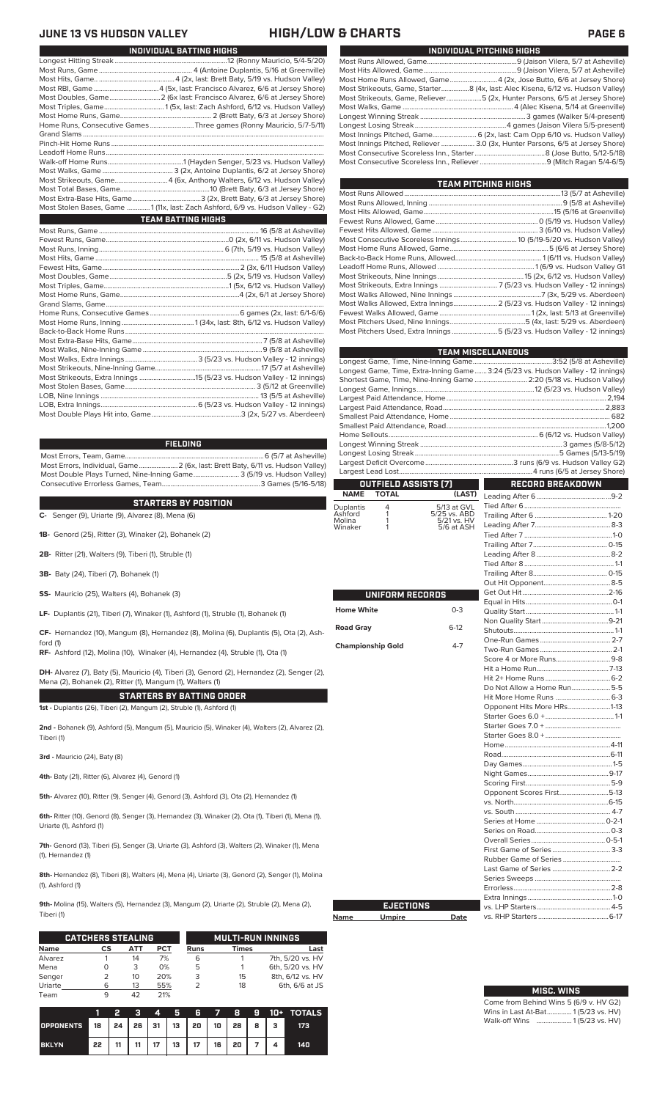## **JUNE 13 VS HUDSON VALLEY HIGH/LOW & CHARTS PAGE 6**

| 13 VS HUDSON VALLEY |
|---------------------|
|---------------------|

| UUINE IƏ VƏ NUUƏUIN VALLET | 11101 I/LUV                                                                      |
|----------------------------|----------------------------------------------------------------------------------|
|                            | INDIVIDUAL BATTING HIGHS                                                         |
|                            |                                                                                  |
|                            |                                                                                  |
|                            |                                                                                  |
|                            |                                                                                  |
|                            |                                                                                  |
|                            |                                                                                  |
|                            |                                                                                  |
|                            | Home Runs, Consecutive Games Three games (Ronny Mauricio, 5/7-5/11)              |
|                            |                                                                                  |
|                            |                                                                                  |
|                            |                                                                                  |
|                            |                                                                                  |
|                            |                                                                                  |
|                            | Most Strikeouts, Game 4 (6x, Anthony Walters, 6/12 vs. Hudson Valley)            |
|                            |                                                                                  |
|                            |                                                                                  |
|                            | Most Stolen Bases, Game  1 (11x, last: Zach Ashford, 6/9 vs. Hudson Valley - G2) |
|                            | <b>TEAM BATTING HIGHS</b>                                                        |
|                            |                                                                                  |
|                            |                                                                                  |
|                            |                                                                                  |
|                            |                                                                                  |
|                            |                                                                                  |
|                            |                                                                                  |
|                            |                                                                                  |
|                            |                                                                                  |
|                            |                                                                                  |
|                            |                                                                                  |
|                            |                                                                                  |
|                            |                                                                                  |
|                            |                                                                                  |
|                            |                                                                                  |
|                            |                                                                                  |
|                            |                                                                                  |
|                            |                                                                                  |
|                            |                                                                                  |
|                            |                                                                                  |
|                            |                                                                                  |
|                            |                                                                                  |

### **FIELDING**

Most Errors, Team, Game...............................................................................6 (5/7 at Asheville) Most Errors, Individual, Game......................2 (6x, last: Brett Baty, 6/11 vs. Hudson Valley) Most Double Plays Turned, Nine-Inning Game.......................... 3 (5/19 vs. Hudson Valley) Consecutive Errorless Games, Team.

**STARTERS BY POSITION**

**C-** Senger (9), Uriarte (9), Alvarez (8), Mena (6)

**1B-** Genord (25), Ritter (3), Winaker (2), Bohanek (2)

**2B-** Ritter (21), Walters (9), Tiberi (1), Struble (1)

- **3B-** Baty (24), Tiberi (7), Bohanek (1)
- **SS-** Mauricio (25), Walters (4), Bohanek (3)

**LF-** Duplantis (21), Tiberi (7), Winaker (1), Ashford (1), Struble (1), Bohanek (1)

**CF-** Hernandez (10), Mangum (8), Hernandez (8), Molina (6), Duplantis (5), Ota (2), Ash-

**RF-** Ashford (12), Molina (10), Winaker (4), Hernandez (4), Struble (1), Ota (1)

**DH-** Alvarez (7), Baty (5), Mauricio (4), Tiberi (3), Genord (2), Hernandez (2), Senger (2), Mena (2), Bohanek (2), Ritter (1), Mangum (1), Walters (1)

**STARTERS BY BATTING ORDER 1st -** Duplantis (26), Tiberi (2), Mangum (2), Struble (1), Ashford (1)

**2nd -** Bohanek (9), Ashford (5), Mangum (5), Mauricio (5), Winaker (4), Walters (2), Alvarez (2), Tiberi (1)

**3rd -** Mauricio (24), Baty (8)

ford (1)

**4th-** Baty (21), Ritter (6), Alvarez (4), Genord (1)

**5th-** Alvarez (10), Ritter (9), Senger (4), Genord (3), Ashford (3), Ota (2), Hernandez (1)

**6th-** Ritter (10), Genord (8), Senger (3), Hernandez (3), Winaker (2), Ota (1), Tiberi (1), Mena (1), Uriarte (1), Ashford (1)

**7th-** Genord (13), Tiberi (5), Senger (3), Uriarte (3), Ashford (3), Walters (2), Winaker (1), Mena (1), Hernandez (1)

**8th-** Hernandez (8), Tiberi (8), Walters (4), Mena (4), Uriarte (3), Genord (2), Senger (1), Molina (1), Ashford (1)

**9th-** Molina (15), Walters (5), Hernandez (3), Mangum (2), Uriarte (2), Struble (2), Mena (2), Tiberi (1)

Г

|             | <b>CATCHERS STEALING</b> |     |            |      | <b>MULTI-RUN INNINGS</b> |                  |
|-------------|--------------------------|-----|------------|------|--------------------------|------------------|
| <b>Name</b> | СS                       | АТТ | <b>PCT</b> | Runs | <b>Times</b>             | Last             |
| Alvarez     |                          | 14  | 7%         | 6    |                          | 7th, 5/20 vs. HV |
| Mena        |                          | 3   | 0%         | 5    |                          | 6th, 5/20 vs. HV |
| Senger      |                          | 10  | 20%        | 3    | 15                       | 8th, 6/12 vs. HV |
| Uriarte     | 6                        | 13  | 55%        |      | 18                       | 6th, 6/6 at JS   |
| Team        | 9                        |     | 21%        |      |                          |                  |

|                                       |    | Ð  |    |  |                            |  |  | 3 4 5 6 7 8 9 10 + TOTALS |
|---------------------------------------|----|----|----|--|----------------------------|--|--|---------------------------|
| OPPONENTS 18 24 26 31 13 20 10 28 8 3 |    |    |    |  |                            |  |  | 173                       |
| <b>BKLYN</b>                          | 22 | 11 | 11 |  | 17   13   17   16   20   7 |  |  | 140                       |

| INDIVIDUAL PITCHING HIGHS                                                          |
|------------------------------------------------------------------------------------|
|                                                                                    |
|                                                                                    |
| Most Home Runs Allowed, Game 4 (2x, Jose Butto, 6/6 at Jersey Shore)               |
| Most Strikeouts, Game, Starter8 (4x, last: Alec Kisena, 6/12 vs. Hudson Valley)    |
| Most Strikeouts, Game, Reliever……………………5 (2x, Hunter Parsons, 6/5 at Jersey Shore) |
|                                                                                    |
|                                                                                    |
|                                                                                    |
| Most Innings Pitched, Game 6 (2x, last: Cam Opp 6/10 vs. Hudson Valley)            |
| Most Innings Pitched, Reliever  3.0 (3x, Hunter Parsons, 6/5 at Jersey Shore)      |
|                                                                                    |
|                                                                                    |
|                                                                                    |

| <b>TEAM PITCHING HIGHS</b>                                                |  |
|---------------------------------------------------------------------------|--|
|                                                                           |  |
|                                                                           |  |
|                                                                           |  |
|                                                                           |  |
|                                                                           |  |
|                                                                           |  |
|                                                                           |  |
|                                                                           |  |
|                                                                           |  |
|                                                                           |  |
|                                                                           |  |
|                                                                           |  |
| Most Walks Allowed, Extra Innings 2 (5/23 vs. Hudson Valley - 12 innings) |  |
|                                                                           |  |
|                                                                           |  |
| Most Pitchers Used, Extra Innings 5 (5/23 vs. Hudson Valley - 12 innings) |  |
|                                                                           |  |

|                      |                          |                             | <b>TEAM MISCELLANEOUS</b>                                                        |  |  |  |  |
|----------------------|--------------------------|-----------------------------|----------------------------------------------------------------------------------|--|--|--|--|
|                      |                          |                             |                                                                                  |  |  |  |  |
|                      |                          |                             | Longest Game, Time, Extra-Inning Game 3:24 (5/23 vs. Hudson Valley - 12 innings) |  |  |  |  |
|                      |                          |                             | Shortest Game, Time, Nine-Inning Game  2:20 (5/18 vs. Hudson Valley)             |  |  |  |  |
|                      |                          |                             |                                                                                  |  |  |  |  |
|                      |                          |                             |                                                                                  |  |  |  |  |
|                      |                          |                             |                                                                                  |  |  |  |  |
|                      |                          |                             |                                                                                  |  |  |  |  |
|                      |                          |                             |                                                                                  |  |  |  |  |
|                      |                          |                             |                                                                                  |  |  |  |  |
|                      |                          |                             |                                                                                  |  |  |  |  |
|                      |                          |                             |                                                                                  |  |  |  |  |
|                      |                          |                             |                                                                                  |  |  |  |  |
|                      | OUTFIELD ASSISTS (7)     |                             | <b>RECORD BREAKDOWN</b>                                                          |  |  |  |  |
| <b>NAME</b>          | <b>TOTAL</b>             | (LAST)                      |                                                                                  |  |  |  |  |
| Duplantis<br>Ashford | 4<br>1                   | 5/13 at GVL                 |                                                                                  |  |  |  |  |
| Molina               | 1                        | 5/25 vs. ABD<br>5/21 vs. HV |                                                                                  |  |  |  |  |
| Winaker              | 1                        | 5/6 at ASH                  |                                                                                  |  |  |  |  |
|                      |                          |                             |                                                                                  |  |  |  |  |
|                      |                          |                             |                                                                                  |  |  |  |  |
|                      |                          |                             |                                                                                  |  |  |  |  |
|                      |                          |                             |                                                                                  |  |  |  |  |
|                      |                          |                             |                                                                                  |  |  |  |  |
|                      | <b>UNIFORM RECORDS</b>   |                             |                                                                                  |  |  |  |  |
|                      |                          |                             |                                                                                  |  |  |  |  |
| <b>Home White</b>    |                          | $0 - 3$                     |                                                                                  |  |  |  |  |
|                      |                          |                             |                                                                                  |  |  |  |  |
| <b>Road Gray</b>     |                          | $6 - 12$                    |                                                                                  |  |  |  |  |
|                      | <b>Championship Gold</b> | $4 - 7$                     |                                                                                  |  |  |  |  |
|                      |                          |                             |                                                                                  |  |  |  |  |
|                      |                          |                             |                                                                                  |  |  |  |  |
|                      |                          |                             |                                                                                  |  |  |  |  |
|                      |                          |                             | Do Not Allow a Home Run5-5                                                       |  |  |  |  |
|                      |                          |                             |                                                                                  |  |  |  |  |
|                      |                          |                             | Opponent Hits More HRs1-13                                                       |  |  |  |  |
|                      |                          |                             |                                                                                  |  |  |  |  |
|                      |                          |                             |                                                                                  |  |  |  |  |
|                      |                          |                             |                                                                                  |  |  |  |  |
|                      |                          |                             |                                                                                  |  |  |  |  |
|                      |                          |                             |                                                                                  |  |  |  |  |
|                      |                          |                             |                                                                                  |  |  |  |  |
|                      |                          |                             |                                                                                  |  |  |  |  |
|                      |                          |                             |                                                                                  |  |  |  |  |
|                      |                          |                             | Opponent Scores First5-13                                                        |  |  |  |  |
|                      |                          |                             |                                                                                  |  |  |  |  |
|                      |                          |                             |                                                                                  |  |  |  |  |
|                      |                          |                             |                                                                                  |  |  |  |  |
|                      |                          |                             |                                                                                  |  |  |  |  |
|                      |                          |                             |                                                                                  |  |  |  |  |
|                      |                          |                             |                                                                                  |  |  |  |  |
|                      |                          |                             | Last Game of Series  2-2                                                         |  |  |  |  |
|                      |                          |                             |                                                                                  |  |  |  |  |
|                      |                          |                             |                                                                                  |  |  |  |  |
|                      |                          |                             |                                                                                  |  |  |  |  |
|                      | <b>EJECTIONS</b>         |                             |                                                                                  |  |  |  |  |
| Name                 | <b>Umpire</b>            | Date                        |                                                                                  |  |  |  |  |

| <b>MISC. WINS</b>                      |
|----------------------------------------|
| Come from Behind Wins 5 (6/9 v. HV G2) |
| Wins in Last At-Bat 1 (5/23 vs. HV)    |
| Walk-off Wins  1(5/23 vs. HV)          |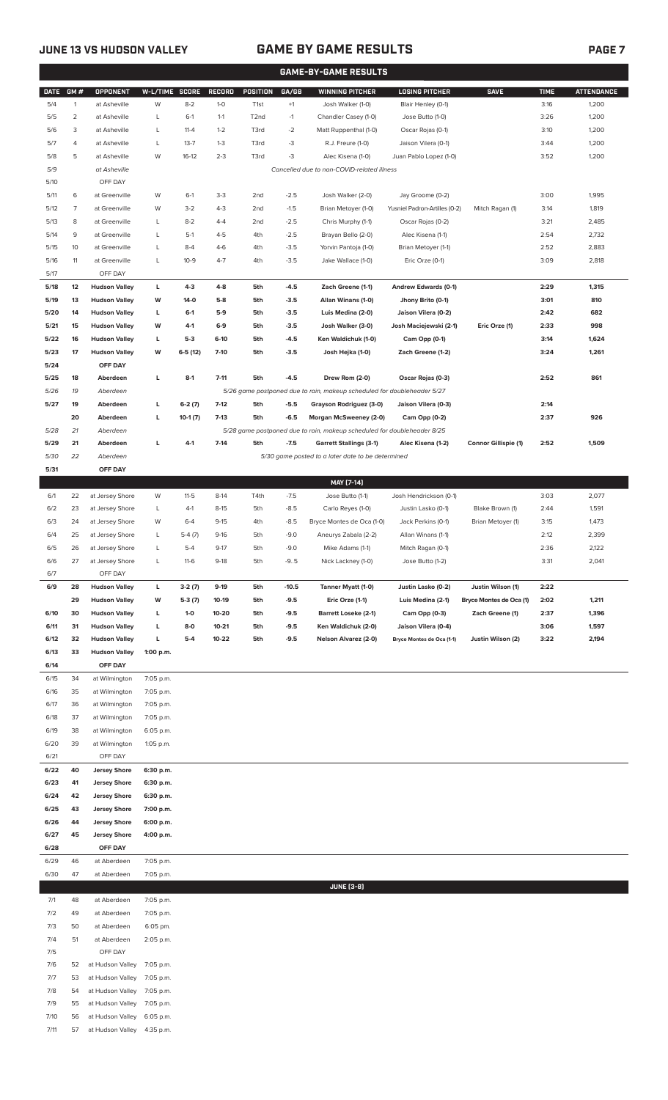7/11 57 at Hudson Valley 4:35 p.m.

### **JUNE 13 VS HUDSON VALLEY GAME BY GAME RESULTS PAGE 7**

|              |                |                                    |                        |                   |                    |                                    |                  | <b>GAME-BY-GAME RESULTS</b>                                             |                                                   |                             |              |                   |
|--------------|----------------|------------------------------------|------------------------|-------------------|--------------------|------------------------------------|------------------|-------------------------------------------------------------------------|---------------------------------------------------|-----------------------------|--------------|-------------------|
| <b>DATE</b>  | GM#            | <b>OPPONENT</b>                    | W-L/TIME SCORE         |                   | RECORD             | POSITION                           | GA/GB            | <b>WINNING PITCHER</b>                                                  | <b>LOSING PITCHER</b>                             | <b>SAVE</b>                 | <b>TIME</b>  | <b>ATTENDANCE</b> |
| 5/4          | $\mathbf{1}$   | at Asheville                       | W                      | $8 - 2$           | $1-0$              | T <sub>1st</sub>                   | $+1$             | Josh Walker (1-0)                                                       | Blair Henley (0-1)                                |                             | 3:16         | 1,200             |
| 5/5          | $\overline{2}$ | at Asheville                       | L                      | $6-1$             | $1 - 1$            | T <sub>2</sub> nd                  | $-1$             | Chandler Casey (1-0)                                                    | Jose Butto (1-0)                                  |                             | 3:26         | 1,200             |
| 5/6          | 3              | at Asheville                       | L                      | $11 - 4$          | $1 - 2$            | T3rd                               | $-2$             | Matt Ruppenthal (1-0)                                                   | Oscar Rojas (0-1)                                 |                             | 3:10         | 1,200             |
| 5/7          | 4              | at Asheville                       | L                      | $13 - 7$          | $1 - 3$            | T3rd                               | -3               | R.J. Freure (1-0)                                                       | Jaison Vilera (0-1)                               |                             | 3:44         | 1,200             |
| 5/8          | 5              | at Asheville                       | W                      | $16-12$           | $2 - 3$            | T3rd                               | $-3$             | Alec Kisena (1-0)                                                       | Juan Pablo Lopez (1-0)                            |                             | 3:52         | 1,200             |
| 5/9          |                | at Asheville                       |                        |                   |                    |                                    |                  | Cancelled due to non-COVID-related illness                              |                                                   |                             |              |                   |
| 5/10         |                | OFF DAY                            |                        |                   |                    |                                    |                  |                                                                         |                                                   |                             |              |                   |
| 5/11<br>5/12 | 6<br>7         | at Greenville<br>at Greenville     | W<br>W                 | $6-1$<br>$3-2$    | $3-3$<br>$4 - 3$   | 2 <sub>nd</sub><br>2 <sub>nd</sub> | $-2.5$<br>$-1.5$ | Josh Walker (2-0)<br>Brian Metoyer (1-0)                                | Jay Groome (0-2)<br>Yusniel Padron-Artilles (0-2) | Mitch Ragan (1)             | 3:00<br>3:14 | 1,995<br>1,819    |
| 5/13         | 8              | at Greenville                      | L                      | $8 - 2$           | $4 - 4$            | 2 <sub>nd</sub>                    | $-2.5$           | Chris Murphy (1-1)                                                      | Oscar Rojas (0-2)                                 |                             | 3:21         | 2,485             |
| 5/14         | 9              | at Greenville                      | L                      | $5-1$             | $4 - 5$            | 4th                                | $-2.5$           | Brayan Bello (2-0)                                                      | Alec Kisena (1-1)                                 |                             | 2:54         | 2,732             |
| 5/15         | 10             | at Greenville                      | L                      | $8-4$             | $4-6$              | 4th                                | $-3.5$           | Yorvin Pantoja (1-0)                                                    | Brian Metoyer (1-1)                               |                             | 2:52         | 2,883             |
| 5/16         | 11             | at Greenville                      | L                      | $10-9$            | $4 - 7$            | 4th                                | $-3.5$           | Jake Wallace (1-0)                                                      | Eric Orze (0-1)                                   |                             | 3:09         | 2,818             |
| 5/17         |                | OFF DAY                            |                        |                   |                    |                                    |                  |                                                                         |                                                   |                             |              |                   |
| 5/18         | 12             | <b>Hudson Valley</b>               | L                      | $4 - 3$           | $4 - 8$            | 5th                                | $-4.5$           | Zach Greene (1-1)                                                       | Andrew Edwards (0-1)                              |                             | 2:29         | 1,315             |
| 5/19         | 13             | <b>Hudson Valley</b>               | W                      | 14-0              | $5-8$              | 5th                                | $-3.5$           | Allan Winans (1-0)                                                      | Jhony Brito (0-1)                                 |                             | 3:01         | 810               |
| 5/20         | 14             | <b>Hudson Valley</b>               | L                      | $6-1$             | $5-9$              | 5th                                | $-3.5$           | Luis Medina (2-0)                                                       | Jaison Vilera (0-2)                               |                             | 2:42         | 682               |
| 5/21         | 15             | <b>Hudson Valley</b>               | W                      | $4-1$             | $6-9$              | 5th                                | $-3.5$           | Josh Walker (3-0)                                                       | Josh Maciejewski (2-1)                            | Eric Orze (1)               | 2:33         | 998               |
| 5/22         | 16             | <b>Hudson Valley</b>               | L                      | $5-3$             | $6-10$             | 5th                                | $-4.5$           | Ken Waldichuk (1-0)                                                     | Cam Opp (0-1)                                     |                             | 3:14         | 1,624             |
| 5/23         | 17             | <b>Hudson Valley</b>               | W                      | $6-5(12)$         | $7 - 10$           | 5th                                | $-3.5$           | Josh Hejka (1-0)                                                        | Zach Greene (1-2)                                 |                             | 3:24         | 1,261             |
| 5/24<br>5/25 | 18             | OFF DAY<br>Aberdeen                | L                      | $8-1$             | $7 - 11$           | 5th                                | $-4.5$           | Drew Rom (2-0)                                                          |                                                   |                             | 2:52         | 861               |
| 5/26         | 19             | Aberdeen                           |                        |                   |                    |                                    |                  | 5/26 game postponed due to rain, makeup scheduled for doubleheader 5/27 | Oscar Rojas (0-3)                                 |                             |              |                   |
| 5/27         | 19             | Aberdeen                           | г                      | $6-2(7)$          | $7-12$             | 5th                                | $-5.5$           | Grayson Rodriguez (3-0)                                                 | Jaison Vilera (0-3)                               |                             | 2:14         |                   |
|              | 20             | Aberdeen                           | L                      | $10-1(7)$         | $7-13$             | 5th                                | $-6.5$           | Morgan McSweeney (2-0)                                                  | Cam Opp (0-2)                                     |                             | 2:37         | 926               |
| 5/28         | 21             | Aberdeen                           |                        |                   |                    |                                    |                  | 5/28 game postponed due to rain, makeup scheduled for doubleheader 8/25 |                                                   |                             |              |                   |
| 5/29         | 21             | Aberdeen                           | г                      | $4 - 1$           | $7 - 14$           | 5th                                | $-7.5$           | <b>Garrett Stallings (3-1)</b>                                          | Alec Kisena (1-2)                                 | <b>Connor Gillispie (1)</b> | 2:52         | 1,509             |
| 5/30         | 22             | Aberdeen                           |                        |                   |                    |                                    |                  | 5/30 game posted to a later date to be determined                       |                                                   |                             |              |                   |
| 5/31         |                | OFF DAY                            |                        |                   |                    |                                    |                  |                                                                         |                                                   |                             |              |                   |
|              |                |                                    |                        |                   |                    |                                    |                  | MAY [7-14]                                                              |                                                   |                             |              |                   |
| 6/1          | 22             | at Jersey Shore                    | W                      | $11-5$            | $8-14$             | T4th                               | $-7.5$           | Jose Butto (1-1)                                                        | Josh Hendrickson (0-1)                            |                             | 3:03         | 2,077             |
| 6/2          | 23             | at Jersey Shore                    | L                      | $4-1$             | $8 - 15$           | 5th                                | $-8.5$           | Carlo Reyes (1-0)                                                       | Justin Lasko (0-1)                                | Blake Brown (1)             | 2:44         | 1,591             |
| 6/3          | 24             | at Jersey Shore                    | W                      | $6 - 4$           | $9 - 15$           | 4th                                | $-8.5$           | Bryce Montes de Oca (1-0)                                               | Jack Perkins (0-1)                                | Brian Metoyer (1)           | 3:15         | 1,473             |
| 6/4          | 25             | at Jersey Shore                    | L                      | $5-4(7)$          | $9 - 16$           | 5th                                | $-9.0$           | Aneurys Zabala (2-2)                                                    | Allan Winans (1-1)                                |                             | 2:12         | 2,399             |
| 6/5<br>6/6   | 26<br>27       | at Jersey Shore<br>at Jersey Shore | L<br>L                 | $5 - 4$<br>$11-6$ | $9 - 17$<br>$9-18$ | 5th<br>5th                         | $-9.0$<br>$-9.5$ | Mike Adams (1-1)<br>Nick Lackney (1-0)                                  | Mitch Ragan (0-1)<br>Jose Butto (1-2)             |                             | 2:36<br>3:31 | 2,122<br>2,041    |
| 6/7          |                | OFF DAY                            |                        |                   |                    |                                    |                  |                                                                         |                                                   |                             |              |                   |
| 6/9          | 28             | <b>Hudson Valley</b>               | L                      | $3-2(7)$          | 9-19               | 5th                                | $-10.5$          | Tanner Myatt (1-0)                                                      | Justin Lasko (0-2)                                | Justin Wilson (1)           | 2:22         |                   |
|              | 29             | <b>Hudson Valley</b>               | W                      | $5-3(7)$          | $10-19$            | 5th                                | $-9.5$           | Eric Orze (1-1)                                                         | Luis Medina (2-1)                                 | Bryce Montes de Oca (1)     | 2:02         | 1,211             |
| 6/10         | 30             | <b>Hudson Valley</b>               | L                      | $1-0$             | 10-20              | 5th                                | $-9.5$           | <b>Barrett Loseke (2-1)</b>                                             | Cam Opp (0-3)                                     | Zach Greene (1)             | 2:37         | 1,396             |
| 6/11         | 31             | <b>Hudson Valley</b>               | г                      | 8-0               | $10 - 21$          | 5th                                | $-9.5$           | Ken Waldichuk (2-0)                                                     | Jaison Vilera (0-4)                               |                             | 3:06         | 1,597             |
| 6/12         | 32             | <b>Hudson Valley</b>               | г                      | $5-4$             | $10 - 22$          | 5th                                | $-9.5$           | Nelson Alvarez (2-0)                                                    | Bryce Montes de Oca (1-1)                         | Justin Wilson (2)           | 3:22         | 2,194             |
| 6/13         | 33             | <b>Hudson Valley</b>               | 1:00 p.m.              |                   |                    |                                    |                  |                                                                         |                                                   |                             |              |                   |
| 6/14         |                | OFF DAY                            |                        |                   |                    |                                    |                  |                                                                         |                                                   |                             |              |                   |
| 6/15         | 34             | at Wilmington                      | 7:05 p.m.              |                   |                    |                                    |                  |                                                                         |                                                   |                             |              |                   |
| 6/16         | 35             | at Wilmington                      | 7:05 p.m.              |                   |                    |                                    |                  |                                                                         |                                                   |                             |              |                   |
| 6/17<br>6/18 | 36<br>37       | at Wilmington<br>at Wilmington     | 7:05 p.m.<br>7:05 p.m. |                   |                    |                                    |                  |                                                                         |                                                   |                             |              |                   |
| 6/19         | 38             | at Wilmington                      | 6:05 p.m.              |                   |                    |                                    |                  |                                                                         |                                                   |                             |              |                   |
| 6/20         | 39             | at Wilmington                      | 1:05 p.m.              |                   |                    |                                    |                  |                                                                         |                                                   |                             |              |                   |
| 6/21         |                | OFF DAY                            |                        |                   |                    |                                    |                  |                                                                         |                                                   |                             |              |                   |
| 6/22         | 40             | <b>Jersey Shore</b>                | 6:30 p.m.              |                   |                    |                                    |                  |                                                                         |                                                   |                             |              |                   |
| 6/23         | 41             | <b>Jersey Shore</b>                | 6:30 p.m.              |                   |                    |                                    |                  |                                                                         |                                                   |                             |              |                   |
| 6/24         | 42             | <b>Jersey Shore</b>                | 6:30 p.m.              |                   |                    |                                    |                  |                                                                         |                                                   |                             |              |                   |
| 6/25         | 43             | <b>Jersey Shore</b>                | 7:00 p.m.              |                   |                    |                                    |                  |                                                                         |                                                   |                             |              |                   |
| 6/26         | 44             | <b>Jersey Shore</b>                | 6:00 p.m.              |                   |                    |                                    |                  |                                                                         |                                                   |                             |              |                   |
| 6/27         | 45             | <b>Jersey Shore</b>                | 4:00 p.m.              |                   |                    |                                    |                  |                                                                         |                                                   |                             |              |                   |
| 6/28         |                | OFF DAY                            |                        |                   |                    |                                    |                  |                                                                         |                                                   |                             |              |                   |
| 6/29<br>6/30 | 46<br>47       | at Aberdeen<br>at Aberdeen         | 7:05 p.m.<br>7:05 p.m. |                   |                    |                                    |                  |                                                                         |                                                   |                             |              |                   |
|              |                |                                    |                        |                   |                    |                                    |                  | <b>JUNE [3-8]</b>                                                       |                                                   |                             |              |                   |
| 7/1          | 48             | at Aberdeen                        | 7:05 p.m.              |                   |                    |                                    |                  |                                                                         |                                                   |                             |              |                   |
| 7/2          | 49             | at Aberdeen                        | 7:05 p.m.              |                   |                    |                                    |                  |                                                                         |                                                   |                             |              |                   |
| 7/3          | 50             | at Aberdeen                        | 6:05 pm.               |                   |                    |                                    |                  |                                                                         |                                                   |                             |              |                   |
| 7/4          | 51             | at Aberdeen                        | 2:05 p.m.              |                   |                    |                                    |                  |                                                                         |                                                   |                             |              |                   |
| 7/5          |                | OFF DAY                            |                        |                   |                    |                                    |                  |                                                                         |                                                   |                             |              |                   |
| 7/6          | 52             | at Hudson Valley                   | 7:05 p.m.              |                   |                    |                                    |                  |                                                                         |                                                   |                             |              |                   |
| 7/7          | 53             | at Hudson Valley                   | 7:05 p.m.              |                   |                    |                                    |                  |                                                                         |                                                   |                             |              |                   |
| 7/8          | 54             | at Hudson Valley                   | 7:05 p.m.              |                   |                    |                                    |                  |                                                                         |                                                   |                             |              |                   |
| 7/9          | 55             | at Hudson Valley                   | 7:05 p.m.              |                   |                    |                                    |                  |                                                                         |                                                   |                             |              |                   |
| 7/10         | 56             | at Hudson Valley                   | 6:05 p.m.              |                   |                    |                                    |                  |                                                                         |                                                   |                             |              |                   |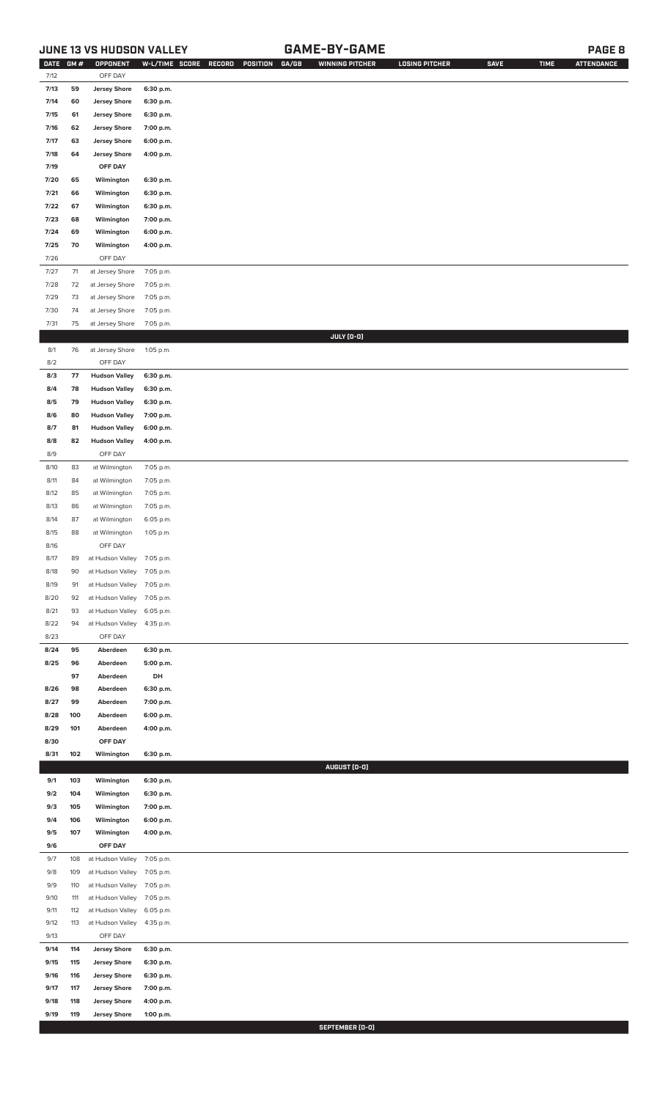### **JUNE 13 VS HUDSON VALLEY GAME-BY-GAME PAGE 8**

| <b>DATE</b> | GM# | OPPONENT                   | W-L/TIME SCORE | RECORD<br><b>POSITION</b><br>GA/GB | <b>WINNING PITCHER</b> | <b>LOSING PITCHER</b> | <b>SAVE</b> | <b>TIME</b> | <b>ATTENDANCE</b> |
|-------------|-----|----------------------------|----------------|------------------------------------|------------------------|-----------------------|-------------|-------------|-------------------|
| 7/12        |     | OFF DAY                    |                |                                    |                        |                       |             |             |                   |
| 7/13        | 59  | <b>Jersey Shore</b>        | 6:30 p.m.      |                                    |                        |                       |             |             |                   |
| 7/14        | 60  | <b>Jersey Shore</b>        | 6:30 p.m.      |                                    |                        |                       |             |             |                   |
|             |     | <b>Jersey Shore</b>        |                |                                    |                        |                       |             |             |                   |
| 7/15        | 61  |                            | 6:30 p.m.      |                                    |                        |                       |             |             |                   |
| 7/16        | 62  | <b>Jersey Shore</b>        | 7:00 p.m.      |                                    |                        |                       |             |             |                   |
| 7/17        | 63  | <b>Jersey Shore</b>        | 6:00 p.m.      |                                    |                        |                       |             |             |                   |
| 7/18        | 64  | <b>Jersey Shore</b>        | 4:00 p.m.      |                                    |                        |                       |             |             |                   |
| 7/19        |     | OFF DAY                    |                |                                    |                        |                       |             |             |                   |
| 7/20        | 65  | Wilmington                 | 6:30 p.m.      |                                    |                        |                       |             |             |                   |
| 7/21        | 66  | Wilmington                 | 6:30 p.m.      |                                    |                        |                       |             |             |                   |
| 7/22        | 67  | Wilmington                 | 6:30 p.m.      |                                    |                        |                       |             |             |                   |
|             |     |                            |                |                                    |                        |                       |             |             |                   |
| 7/23        | 68  | Wilmington                 | 7:00 p.m.      |                                    |                        |                       |             |             |                   |
| 7/24        | 69  | Wilmington                 | 6:00 p.m.      |                                    |                        |                       |             |             |                   |
| 7/25        | 70  | Wilmington                 | 4:00 p.m.      |                                    |                        |                       |             |             |                   |
| 7/26        |     | OFF DAY                    |                |                                    |                        |                       |             |             |                   |
| 7/27        | 71  | at Jersey Shore            | 7:05 p.m.      |                                    |                        |                       |             |             |                   |
| 7/28        | 72  | at Jersey Shore            | 7:05 p.m.      |                                    |                        |                       |             |             |                   |
| 7/29        | 73  | at Jersey Shore            | 7:05 p.m.      |                                    |                        |                       |             |             |                   |
|             |     |                            |                |                                    |                        |                       |             |             |                   |
| 7/30        | 74  | at Jersey Shore            | 7:05 p.m.      |                                    |                        |                       |             |             |                   |
| 7/31        | 75  | at Jersey Shore            | 7:05 p.m.      |                                    |                        |                       |             |             |                   |
|             |     |                            |                |                                    | JULY (0-0)             |                       |             |             |                   |
| 8/1         | 76  | at Jersey Shore            | 1:05 p.m.      |                                    |                        |                       |             |             |                   |
| 8/2         |     | OFF DAY                    |                |                                    |                        |                       |             |             |                   |
| 8/3         | 77  | <b>Hudson Valley</b>       | 6:30 p.m.      |                                    |                        |                       |             |             |                   |
| 8/4         | 78  | <b>Hudson Valley</b>       | 6:30 p.m.      |                                    |                        |                       |             |             |                   |
| 8/5         | 79  | <b>Hudson Valley</b>       | 6:30 p.m.      |                                    |                        |                       |             |             |                   |
|             |     |                            |                |                                    |                        |                       |             |             |                   |
| 8/6         | 80  | <b>Hudson Valley</b>       | 7:00 p.m.      |                                    |                        |                       |             |             |                   |
| 8/7         | 81  | <b>Hudson Valley</b>       | 6:00 p.m.      |                                    |                        |                       |             |             |                   |
| 8/8         | 82  | <b>Hudson Valley</b>       | 4:00 p.m.      |                                    |                        |                       |             |             |                   |
| 8/9         |     | OFF DAY                    |                |                                    |                        |                       |             |             |                   |
| 8/10        | 83  | at Wilmington              | 7:05 p.m.      |                                    |                        |                       |             |             |                   |
| 8/11        | 84  | at Wilmington              | 7:05 p.m.      |                                    |                        |                       |             |             |                   |
| 8/12        | 85  | at Wilmington              | 7:05 p.m.      |                                    |                        |                       |             |             |                   |
| 8/13        | 86  | at Wilmington              | 7:05 p.m.      |                                    |                        |                       |             |             |                   |
|             |     |                            |                |                                    |                        |                       |             |             |                   |
| 8/14        | 87  | at Wilmington              | 6:05 p.m.      |                                    |                        |                       |             |             |                   |
| 8/15        | 88  | at Wilmington              | 1:05 p.m.      |                                    |                        |                       |             |             |                   |
| 8/16        |     | OFF DAY                    |                |                                    |                        |                       |             |             |                   |
| 8/17        | 89  | at Hudson Valley 7:05 p.m. |                |                                    |                        |                       |             |             |                   |
| 8/18        | 90  | at Hudson Valley           | 7:05 p.m.      |                                    |                        |                       |             |             |                   |
| 8/19        | 91  | at Hudson Valley           | 7:05 p.m.      |                                    |                        |                       |             |             |                   |
| 8/20        | 92  | at Hudson Valley           | 7:05 p.m.      |                                    |                        |                       |             |             |                   |
| 8/21        | 93  | at Hudson Valley           | 6:05 p.m.      |                                    |                        |                       |             |             |                   |
|             |     |                            |                |                                    |                        |                       |             |             |                   |
| 8/22        | 94  | at Hudson Valley           | 4:35 p.m.      |                                    |                        |                       |             |             |                   |
| 8/23        |     | OFF DAY                    |                |                                    |                        |                       |             |             |                   |
| 8/24        | 95  | Aberdeen                   | 6:30 p.m.      |                                    |                        |                       |             |             |                   |
| 8/25        | 96  | Aberdeen                   | 5:00 p.m.      |                                    |                        |                       |             |             |                   |
|             | 97  | Aberdeen                   | DH             |                                    |                        |                       |             |             |                   |
| 8/26        | 98  | Aberdeen                   | 6:30 p.m.      |                                    |                        |                       |             |             |                   |
| 8/27        | 99  | Aberdeen                   | 7:00 p.m.      |                                    |                        |                       |             |             |                   |
| 8/28        | 100 | Aberdeen                   | 6:00 p.m.      |                                    |                        |                       |             |             |                   |
|             |     |                            |                |                                    |                        |                       |             |             |                   |
| 8/29        | 101 | Aberdeen                   | 4:00 p.m.      |                                    |                        |                       |             |             |                   |
| 8/30        |     | OFF DAY                    |                |                                    |                        |                       |             |             |                   |
| 8/31        | 102 | Wilmington                 | 6:30 p.m.      |                                    |                        |                       |             |             |                   |
|             |     |                            |                |                                    | AUGUST (0-0)           |                       |             |             |                   |
| 9/1         | 103 | Wilmington                 | 6:30 p.m.      |                                    |                        |                       |             |             |                   |
| 9/2         | 104 | Wilmington                 | 6:30 p.m.      |                                    |                        |                       |             |             |                   |
| 9/3         | 105 | Wilmington                 | 7:00 p.m.      |                                    |                        |                       |             |             |                   |
| 9/4         | 106 | Wilmington                 | 6:00 p.m.      |                                    |                        |                       |             |             |                   |
| 9/5         | 107 | Wilmington                 |                |                                    |                        |                       |             |             |                   |
|             |     |                            | 4:00 p.m.      |                                    |                        |                       |             |             |                   |
| 9/6         |     | OFF DAY                    |                |                                    |                        |                       |             |             |                   |
| 9/7         | 108 | at Hudson Valley           | 7:05 p.m.      |                                    |                        |                       |             |             |                   |
| 9/8         | 109 | at Hudson Valley           | 7:05 p.m.      |                                    |                        |                       |             |             |                   |
| 9/9         | 110 | at Hudson Valley           | 7:05 p.m.      |                                    |                        |                       |             |             |                   |
| 9/10        | 111 | at Hudson Valley           | 7:05 p.m.      |                                    |                        |                       |             |             |                   |
| 9/11        | 112 | at Hudson Valley           | 6:05 p.m.      |                                    |                        |                       |             |             |                   |
| 9/12        | 113 | at Hudson Valley           | 4:35 p.m.      |                                    |                        |                       |             |             |                   |
|             |     |                            |                |                                    |                        |                       |             |             |                   |
| 9/13        |     | OFF DAY                    |                |                                    |                        |                       |             |             |                   |
| 9/14        | 114 | <b>Jersey Shore</b>        | 6:30 p.m.      |                                    |                        |                       |             |             |                   |
| 9/15        | 115 | <b>Jersey Shore</b>        | 6:30 p.m.      |                                    |                        |                       |             |             |                   |
| 9/16        | 116 | <b>Jersey Shore</b>        | 6:30 p.m.      |                                    |                        |                       |             |             |                   |
| 9/17        | 117 | <b>Jersey Shore</b>        | 7:00 p.m.      |                                    |                        |                       |             |             |                   |
| 9/18        | 118 | <b>Jersey Shore</b>        | 4:00 p.m.      |                                    |                        |                       |             |             |                   |
| 9/19        | 119 | <b>Jersey Shore</b>        | 1:00 p.m.      |                                    |                        |                       |             |             |                   |
|             |     |                            |                |                                    |                        |                       |             |             |                   |

**SEPTEMBER (0-0)**